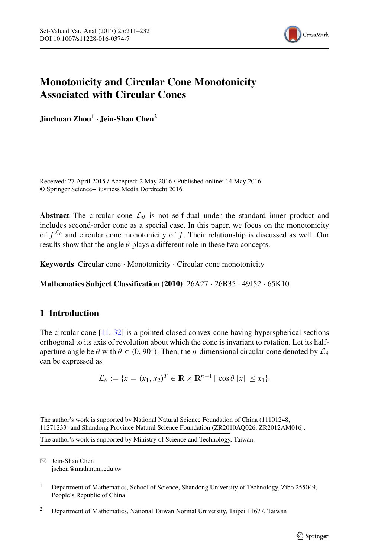

# **Monotonicity and Circular Cone Monotonicity Associated with Circular Cones**

**Jinchuan Zhou<sup>1</sup> · Jein-Shan Chen<sup>2</sup>**

Received: 27 April 2015 / Accepted: 2 May 2016 / Published online: 14 May 2016 © Springer Science+Business Media Dordrecht 2016

**Abstract** The circular cone  $\mathcal{L}_{\theta}$  is not self-dual under the standard inner product and includes second-order cone as a special case. In this paper, we focus on the monotonicity of  $f^{\mathcal{L}_{\theta}}$  and circular cone monotonicity of f. Their relationship is discussed as well. Our results show that the angle  $\theta$  plays a different role in these two concepts.

**Keywords** Circular cone · Monotonicity · Circular cone monotonicity

**Mathematics Subject Classification (2010)** 26A27 · 26B35 · 49J52 · 65K10

### **1 Introduction**

The circular cone [\[11,](#page-20-0) [32\]](#page-21-0) is a pointed closed convex cone having hyperspherical sections orthogonal to its axis of revolution about which the cone is invariant to rotation. Let its halfaperture angle be  $\theta$  with  $\theta \in (0, 90^{\circ})$ . Then, the *n*-dimensional circular cone denoted by  $\mathcal{L}_{\theta}$ can be expressed as

$$
\mathcal{L}_{\theta} := \{x = (x_1, x_2)^T \in \mathbb{R} \times \mathbb{R}^{n-1} \mid \cos \theta \|x\| \le x_1\}.
$$

The author's work is supported by National Natural Science Foundation of China (11101248, 11271233) and Shandong Province Natural Science Foundation (ZR2010AQ026, ZR2012AM016).

The author's work is supported by Ministry of Science and Technology, Taiwan.

- Jein-Shan Chen [jschen@math.ntnu.edu.tw](mailto:jschen@math.ntnu.edu.tw)

- <sup>1</sup> Department of Mathematics, School of Science, Shandong University of Technology, Zibo 255049, People's Republic of China
- <sup>2</sup> Department of Mathematics, National Taiwan Normal University, Taipei 11677, Taiwan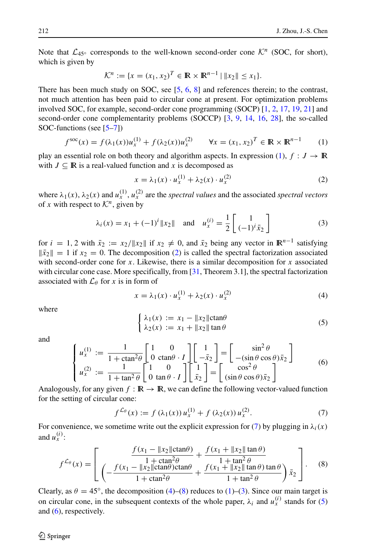Note that  $\mathcal{L}_{45^\circ}$  corresponds to the well-known second-order cone  $\mathcal{K}^n$  (SOC, for short), which is given by

$$
\mathcal{K}^n := \{x = (x_1, x_2)^T \in \mathbb{R} \times \mathbb{R}^{n-1} \mid \|x_2\| \le x_1\}.
$$

There has been much study on SOC, see [\[5,](#page-20-1) [6,](#page-20-2) [8\]](#page-20-3) and references therein; to the contrast, not much attention has been paid to circular cone at present. For optimization problems involved SOC, for example, second-order cone programming (SOCP) [\[1,](#page-20-4) [2,](#page-20-5) [17,](#page-20-6) [19,](#page-20-7) [21\]](#page-21-1) and second-order cone complementarity problems (SOCCP) [\[3,](#page-20-8) [9,](#page-20-9) [14,](#page-20-10) [16,](#page-20-11) [28\]](#page-21-2), the so-called SOC-functions (see [\[5–](#page-20-1)[7\]](#page-20-12))

<span id="page-1-0"></span>
$$
f^{\text{soc}}(x) = f(\lambda_1(x))u_x^{(1)} + f(\lambda_2(x))u_x^{(2)} \qquad \forall x = (x_1, x_2)^T \in \mathbb{R} \times \mathbb{R}^{n-1}
$$
 (1)

play an essential role on both theory and algorithm aspects. In expression [\(1\)](#page-1-0),  $f : J \to \mathbb{R}$ with  $J \subseteq \mathbb{R}$  is a real-valued function and x is decomposed as

<span id="page-1-1"></span>
$$
x = \lambda_1(x) \cdot u_x^{(1)} + \lambda_2(x) \cdot u_x^{(2)} \tag{2}
$$

where  $\lambda_1(x)$ ,  $\lambda_2(x)$  and  $u_x^{(1)}$ ,  $u_x^{(2)}$  are the *spectral values* and the associated *spectral vectors* of *x* with respect to  $K^n$ , given by

<span id="page-1-5"></span>
$$
\lambda_i(x) = x_1 + (-1)^i \|x_2\|
$$
 and  $u_x^{(i)} = \frac{1}{2} \begin{bmatrix} 1 \\ (-1)^i \bar{x}_2 \end{bmatrix}$  (3)

for  $i = 1, 2$  with  $\bar{x}_2 := x_2 / \|x_2\|$  if  $x_2 \neq 0$ , and  $\bar{x}_2$  being any vector in  $\mathbb{R}^{n-1}$  satisfying  $\|\bar{x}_2\| = 1$  if  $x_2 = 0$ . The decomposition [\(2\)](#page-1-1) is called the spectral factorization associated with second-order cone for *x*. Likewise, there is a similar decomposition for *x* associated with circular cone case. More specifically, from [\[31,](#page-21-3) Theorem 3.1], the spectral factorization associated with  $\mathcal{L}_{\theta}$  for *x* is in form of

<span id="page-1-3"></span>
$$
x = \lambda_1(x) \cdot u_x^{(1)} + \lambda_2(x) \cdot u_x^{(2)} \tag{4}
$$

where

<span id="page-1-6"></span>
$$
\begin{cases} \lambda_1(x) := x_1 - ||x_2|| \text{ctan}\theta \\ \lambda_2(x) := x_1 + ||x_2|| \text{tan}\theta \end{cases}
$$
 (5)

and

<span id="page-1-7"></span>
$$
\begin{cases}\nu_x^{(1)} := \frac{1}{1 + \text{ctan}^2 \theta} \begin{bmatrix} 1 & 0 \\ 0 & \text{ctan} \theta \end{bmatrix} \begin{bmatrix} 1 \\ -\bar{x}_2 \end{bmatrix} = \begin{bmatrix} \sin^2 \theta \\ -(\sin \theta \cos \theta) \bar{x}_2 \end{bmatrix} \\
u_x^{(2)} := \frac{1}{1 + \tan^2 \theta} \begin{bmatrix} 1 & 0 \\ 0 & \tan \theta \end{bmatrix} \begin{bmatrix} 1 \\ \bar{x}_2 \end{bmatrix} = \begin{bmatrix} \cos^2 \theta \\ (\sin \theta \cos \theta) \bar{x}_2 \end{bmatrix}\n\end{cases} (6)
$$

Analogously, for any given  $f : \mathbb{R} \to \mathbb{R}$ , we can define the following vector-valued function for the setting of circular cone:

<span id="page-1-2"></span>
$$
f^{\mathcal{L}_{\theta}}(x) := f(\lambda_1(x)) u_x^{(1)} + f(\lambda_2(x)) u_x^{(2)}.
$$
 (7)

For convenience, we sometime write out the explicit expression for [\(7\)](#page-1-2) by plugging in  $\lambda_i(x)$ and  $u_x^{(i)}$ :

<span id="page-1-4"></span>
$$
f^{\mathcal{L}_{\theta}}(x) = \left[ \frac{\frac{f(x_1 - ||x_2|| \text{ctan}\theta)}{1 + \text{ctan}^2 \theta} + \frac{f(x_1 + ||x_2|| \text{tan}\theta)}{1 + \text{tan}^2 \theta}}{1 + \text{ctan}^2 \theta} + \frac{f(x_1 + ||x_2|| \text{tan}\theta)}{1 + \text{tan}^2 \theta} \text{tan}\theta \right] \bar{x}_2 \right].
$$
 (8)

Clearly, as  $\theta = 45^\circ$ , the decomposition [\(4\)](#page-1-3)–[\(8\)](#page-1-4) reduces to [\(1\)](#page-1-0)–[\(3\)](#page-1-5). Since our main target is on circular cone, in the subsequent contexts of the whole paper,  $\lambda_i$  and  $u_x^{(i)}$  stands for [\(5\)](#page-1-6) and  $(6)$ , respectively.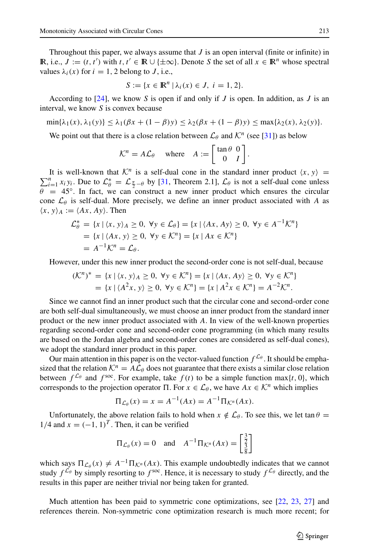Throughout this paper, we always assume that  $J$  is an open interval (finite or infinite) in **IR**, i.e., *J* :=  $(t, t')$  with *t*,  $t' \in \mathbb{R} \cup \{\pm \infty\}$ . Denote *S* the set of all *x* ∈  $\mathbb{R}^n$  whose spectral values  $\lambda_i(x)$  for  $i = 1, 2$  belong to *J*, i.e.,

$$
S := \{ x \in \mathbb{R}^n \mid \lambda_i(x) \in J, \ i = 1, 2 \}.
$$

According to [\[24\]](#page-21-4), we know *S* is open if and only if *J* is open. In addition, as *J* is an interval, we know *S* is convex because

$$
\min\{\lambda_1(x),\lambda_1(y)\}\leq \lambda_1(\beta x+(1-\beta)y)\leq \lambda_2(\beta x+(1-\beta)y)\leq \max\{\lambda_2(x),\lambda_2(y)\}.
$$

We point out that there is a close relation between  $\mathcal{L}_{\theta}$  and  $\mathcal{K}^{n}$  (see [\[31\]](#page-21-3)) as below

$$
\mathcal{K}^n = A \mathcal{L}_\theta \quad \text{where} \quad A := \begin{bmatrix} \tan \theta & 0 \\ 0 & I \end{bmatrix}
$$

*.*

It is well-known that  $K^n$  is a self-dual cone in the standard inner product  $\langle x, y \rangle =$ <sup>n</sup><br> *x, y, Due to*  $C^* = C^*$  a by [31] Theorem 2.11  $C_2$  is not a self-dual cone unless  $\sum_{i=1}^{n} x_i y_i$ . Due to  $\mathcal{L}_{\theta}^* = \mathcal{L}_{\frac{\pi}{2} - \theta}$  by [\[31,](#page-21-3) Theorem 2.1],  $\mathcal{L}_{\theta}$  is not a self-dual cone unless  $\theta = 45^\circ$ . In fact, we can construct a new inner product which ensures the circular cone  $\mathcal{L}_{\theta}$  is self-dual. More precisely, we define an inner product associated with *A* as  $\langle x, y \rangle_A := \langle Ax, Ay \rangle$ . Then

$$
\mathcal{L}_{\theta}^{*} = \{x \mid \langle x, y \rangle_{A} \ge 0, \forall y \in \mathcal{L}_{\theta}\} = \{x \mid \langle Ax, Ay \rangle \ge 0, \forall y \in A^{-1} \mathcal{K}^{n}\}
$$
  
=  $\{x \mid \langle Ax, y \rangle \ge 0, \forall y \in \mathcal{K}^{n}\} = \{x \mid Ax \in \mathcal{K}^{n}\}$   
=  $A^{-1} \mathcal{K}^{n} = \mathcal{L}_{\theta}.$ 

However, under this new inner product the second-order cone is not self-dual, because

$$
(K^{n})^{*} = \{x \mid \langle x, y \rangle_{A} \ge 0, \forall y \in K^{n}\} = \{x \mid \langle Ax, Ay \rangle \ge 0, \forall y \in K^{n}\} = \{x \mid \langle A^{2}x, y \rangle \ge 0, \forall y \in K^{n}\} = \{x \mid A^{2}x \in K^{n}\} = A^{-2}K^{n}.
$$

Since we cannot find an inner product such that the circular cone and second-order cone are both self-dual simultaneously, we must choose an inner product from the standard inner product or the new inner product associated with *A*. In view of the well-known properties regarding second-order cone and second-order cone programming (in which many results are based on the Jordan algebra and second-order cones are considered as self-dual cones), we adopt the standard inner product in this paper.

Our main attention in this paper is on the vector-valued function  $f^{\mathcal{L}_{\theta}}$ . It should be emphasized that the relation  $K^n = A\mathcal{L}_{\theta}$  does not guarantee that there exists a similar close relation between  $f^{\mathcal{L}_{\theta}}$  and  $f^{\text{soc}}$ . For example, take  $f(t)$  to be a simple function max{*t*, 0}, which corresponds to the projection operator  $\Pi$ . For  $x \in \mathcal{L}_{\theta}$ , we have  $Ax \in \mathcal{K}^n$  which implies

$$
\Pi_{\mathcal{L}_{\theta}}(x) = x = A^{-1}(Ax) = A^{-1}\Pi_{\mathcal{K}^n}(Ax).
$$

Unfortunately, the above relation fails to hold when  $x \notin L_{\theta}$ . To see this, we let tan  $\theta =$  $1/4$  and  $x = (-1, 1)^T$ . Then, it can be verified

$$
\Pi_{\mathcal{L}_{\theta}}(x) = 0 \quad \text{and} \quad A^{-1} \Pi_{\mathcal{K}^n}(Ax) = \begin{bmatrix} \frac{3}{2} \\ \frac{3}{8} \end{bmatrix}
$$

which says  $\Pi_{\mathcal{L}_{\theta}}(x) \neq A^{-1} \Pi_{\mathcal{K}^n}(Ax)$ . This example undoubtedly indicates that we cannot study  $f^{\mathcal{L}_{\theta}}$  by simply resorting to  $f^{\text{soc}}$ . Hence, it is necessary to study  $f^{\mathcal{L}_{\theta}}$  directly, and the results in this paper are neither trivial nor being taken for granted.

Much attention has been paid to symmetric cone optimizations, see [\[22,](#page-21-5) [23,](#page-21-6) [27\]](#page-21-7) and references therein. Non-symmetric cone optimization research is much more recent; for

 $\textcircled{2}$  Springer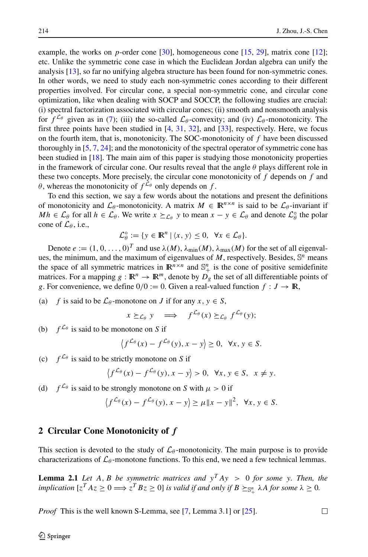example, the works on *p*-order cone [\[30\]](#page-21-8), homogeneous cone [\[15,](#page-20-13) [29\]](#page-21-9), matrix cone [\[12\]](#page-20-14); etc. Unlike the symmetric cone case in which the Euclidean Jordan algebra can unify the analysis [\[13\]](#page-20-15), so far no unifying algebra structure has been found for non-symmetric cones. In other words, we need to study each non-symmetric cones according to their different properties involved. For circular cone, a special non-symmetric cone, and circular cone optimization, like when dealing with SOCP and SOCCP, the following studies are crucial: (i) spectral factorization associated with circular cones; (ii) smooth and nonsmooth analysis for  $f^{\mathcal{L}_{\theta}}$  given as in [\(7\)](#page-1-2); (iii) the so-called  $\mathcal{L}_{\theta}$ -convexity; and (iv)  $\mathcal{L}_{\theta}$ -monotonicity. The first three points have been studied in  $[4, 31, 32]$  $[4, 31, 32]$  $[4, 31, 32]$  $[4, 31, 32]$  $[4, 31, 32]$ , and  $[33]$ , respectively. Here, we focus on the fourth item, that is, monotonicity. The SOC-monotonicity of *f* have been discussed thoroughly in [\[5,](#page-20-1) [7,](#page-20-12) [24\]](#page-21-4); and the monotonicity of the spectral operator of symmetric cone has been studied in [\[18\]](#page-20-17). The main aim of this paper is studying those monotonicity properties in the framework of circular cone. Our results reveal that the angle *θ* plays different role in these two concepts. More precisely, the circular cone monotonicity of *f* depends on *f* and *θ*, whereas the monotonicity of  $f^{\mathcal{L}_{\theta}}$  only depends on *f*.

To end this section, we say a few words about the notations and present the definitions of monotonicity and  $\mathcal{L}_{\theta}$ -monotonicity. A matrix  $M \in \mathbb{R}^{n \times n}$  is said to be  $\mathcal{L}_{\theta}$ -invariant if  $Mh \in \mathcal{L}_{\theta}$  for all  $h \in \mathcal{L}_{\theta}$ . We write  $x \succeq_{\mathcal{L}_{\theta}} y$  to mean  $x - y \in \mathcal{L}_{\theta}$  and denote  $\mathcal{L}_{\theta}^{\circ}$  the polar cone of  $\mathcal{L}_{\theta}$ , i.e.,

$$
\mathcal{L}_{\theta}^{\circ} := \{ y \in \mathbb{R}^n \mid \langle x, y \rangle \leq 0, \ \forall x \in \mathcal{L}_{\theta} \}.
$$

Denote  $e := (1, 0, \ldots, 0)^T$  and use  $\lambda(M)$ ,  $\lambda_{\min}(M)$ ,  $\lambda_{\max}(M)$  for the set of all eigenvalues, the minimum, and the maximum of eigenvalues of  $M$ , respectively. Besides,  $\mathbb{S}^n$  means the space of all symmetric matrices in  $\mathbb{R}^{n \times n}$  and  $\mathbb{S}^n_+$  is the cone of positive semidefinite matrices. For a mapping  $g : \mathbb{R}^n \to \mathbb{R}^m$ , denote by  $D_g$  the set of all differentiable points of *g*. For convenience, we define  $0/0 := 0$ . Given a real-valued function  $f : J \to \mathbb{R}$ ,

(a) *f* is said to be  $\mathcal{L}_{\theta}$ -monotone on *J* if for any  $x, y \in S$ ,

$$
x \succeq_{\mathcal{L}_{\theta}} y \quad \Longrightarrow \quad f^{\mathcal{L}_{\theta}}(x) \succeq_{\mathcal{L}_{\theta}} f^{\mathcal{L}_{\theta}}(y);
$$

(b)  $f^{\mathcal{L}_{\theta}}$  is said to be monotone on *S* if

$$
\left\langle f^{\mathcal{L}_{\theta}}(x) - f^{\mathcal{L}_{\theta}}(y), x - y \right\rangle \geq 0, \ \forall x, y \in S.
$$

(c)  $f^{\mathcal{L}_{\theta}}$  is said to be strictly monotone on *S* if

$$
\left\langle f^{\mathcal{L}_{\theta}}(x) - f^{\mathcal{L}_{\theta}}(y), x - y \right\rangle > 0, \ \forall x, y \in S, \ x \neq y.
$$

(d)  $f^{\mathcal{L}_{\theta}}$  is said to be strongly monotone on *S* with  $\mu > 0$  if

$$
\left\langle f^{\mathcal{L}_{\theta}}(x) - f^{\mathcal{L}_{\theta}}(y), x - y \right\rangle \geq \mu \|x - y\|^2, \ \forall x, y \in S.
$$

#### <span id="page-3-0"></span>**2 Circular Cone Monotonicity of** *f*

This section is devoted to the study of  $\mathcal{L}_{\theta}$ -monotonicity. The main purpose is to provide characterizations of  $\mathcal{L}_{\theta}$ -monotone functions. To this end, we need a few technical lemmas.

**Lemma 2.1** *Let A, B be symmetric matrices and*  $y^T A y > 0$  *for some y. Then, the implication*  $[z^T Az \ge 0 \Longrightarrow z^T Bz \ge 0]$  *is valid if and only if*  $B \succeq_{\mathbb{S}_+^n} \lambda A$  *for some*  $\lambda \ge 0$ *.* 

*Proof* This is the well known S-Lemma, see [\[7,](#page-20-12) Lemma 3.1] or [\[25\]](#page-21-11).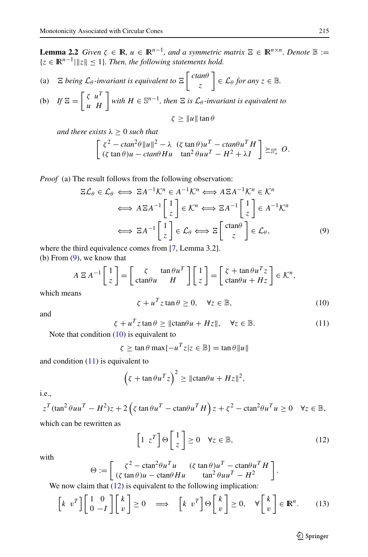**Lemma 2.2** *Given*  $\zeta \in \mathbb{R}$ *,*  $u \in \mathbb{R}^{n-1}$ *, and a symmetric matrix*  $\Xi \in \mathbb{R}^{n \times n}$ *. Denote*  $\mathbb{B} :=$  ${z \in \mathbb{R}^{n-1} \mid \|z\| \leq 1}.$  Then, the following statements hold.

(a) 
$$
\Xi
$$
 being  $\mathcal{L}_{\theta}$ -invariant is equivalent to  $\Xi\left[\begin{array}{c}ctan\theta\\z\end{array}\right] \in \mathcal{L}_{\theta}$  for any  $z \in \mathbb{B}$ .

(b) If 
$$
\Xi = \begin{bmatrix} \zeta & u^T \\ u & H \end{bmatrix}
$$
 with  $H \in \mathbb{S}^{n-1}$ , then  $\Xi$  is  $\mathcal{L}_{\theta}$ -invariant is equivalent to  
 $\zeta \ge ||u|| \tan \theta$ 

*and there exists*  $\lambda \geq 0$  *such that* 

$$
\begin{bmatrix} \zeta^2 - \alpha \tan^2 \theta \|u\|^2 - \lambda & (\zeta \tan \theta) u^T - \alpha \tan \theta u^T H \\ (\zeta \tan \theta) u - \alpha \tan \theta H u & \tan^2 \theta u u^T - H^2 + \lambda I \end{bmatrix} \succeq_{\mathbb{S}_+^n} O.
$$

*Proof* (a) The result follows from the following observation:

<span id="page-4-0"></span>
$$
\Xi \mathcal{L}_{\theta} \in \mathcal{L}_{\theta} \iff \Xi A^{-1} \mathcal{K}^{n} \in A^{-1} \mathcal{K}^{n} \iff A \Xi A^{-1} \mathcal{K}^{n} \in \mathcal{K}^{n}
$$

$$
\iff A \Xi A^{-1} \begin{bmatrix} 1 \\ z \end{bmatrix} \in \mathcal{K}^{n} \iff \Xi A^{-1} \begin{bmatrix} 1 \\ z \end{bmatrix} \in A^{-1} \mathcal{K}^{n}
$$

$$
\iff \Xi A^{-1} \begin{bmatrix} 1 \\ z \end{bmatrix} \in \mathcal{L}_{\theta} \iff \Xi \begin{bmatrix} \text{ctan}\theta \\ z \end{bmatrix} \in \mathcal{L}_{\theta}, \tag{9}
$$

where the third equivalence comes from [\[7,](#page-20-12) Lemma 3.2]. (b) From [\(9\)](#page-4-0), we know that

$$
A \to A^{-1} \begin{bmatrix} 1 \\ z \end{bmatrix} = \begin{bmatrix} \zeta & \tan \theta u^T \\ \ctan \theta u & H \end{bmatrix} \begin{bmatrix} 1 \\ z \end{bmatrix} = \begin{bmatrix} \zeta + \tan \theta u^T z \\ \ctan \theta u + Hz \end{bmatrix} \in \mathcal{K}^n,
$$
  
ans

which mea

<span id="page-4-1"></span>
$$
\zeta + u^T z \tan \theta \ge 0, \quad \forall z \in \mathbb{B}, \tag{10}
$$

and

<span id="page-4-2"></span>
$$
\zeta + u^T z \tan \theta \ge ||\text{ctan}\theta u + Hz||, \quad \forall z \in \mathbb{B}.
$$
 (11)

Note that condition [\(10\)](#page-4-1) is equivalent to

 $\zeta \geq \tan \theta \max \{-u^T z | z \in \mathbb{B}\} = \tan \theta \|u\|$ 

and condition  $(11)$  is equivalent to

$$
\left(\zeta + \tan \theta u^T z\right)^2 \ge ||\text{ctan}\theta u + Hz||^2,
$$

i.e.,

$$
z^{T}(\tan^{2}\theta u u^{T} - H^{2})z + 2\left(\zeta \tan \theta u^{T} - \tan \theta u^{T}H\right)z + \zeta^{2} - \tan^{2}\theta u^{T}u \ge 0 \quad \forall z \in \mathbb{B},
$$
  
which can be rewritten as

<span id="page-4-3"></span>
$$
\left[1 \ z^T\right] \Theta\left[\frac{1}{z}\right] \ge 0 \quad \forall z \in \mathbb{B},\tag{12}
$$

with

$$
\Theta := \begin{bmatrix} \zeta^2 - \text{ctan}^2 \theta u^T u & (\zeta \tan \theta) u^T - \text{ctan} \theta u^T H \\ (\zeta \tan \theta) u - \text{ctan} \theta H u & \tan^2 \theta u u^T - H^2 \end{bmatrix}
$$

We now claim that  $(12)$  is equivalent to the following implication:

<span id="page-4-4"></span>
$$
\begin{bmatrix} k & v^T \end{bmatrix} \begin{bmatrix} 1 & 0 \\ 0 & -I \end{bmatrix} \begin{bmatrix} k \\ v \end{bmatrix} \ge 0 \implies \begin{bmatrix} k & v^T \end{bmatrix} \Theta \begin{bmatrix} k \\ v \end{bmatrix} \ge 0, \forall \begin{bmatrix} k \\ v \end{bmatrix} \in \mathbb{R}^n.
$$
 (13)

*.*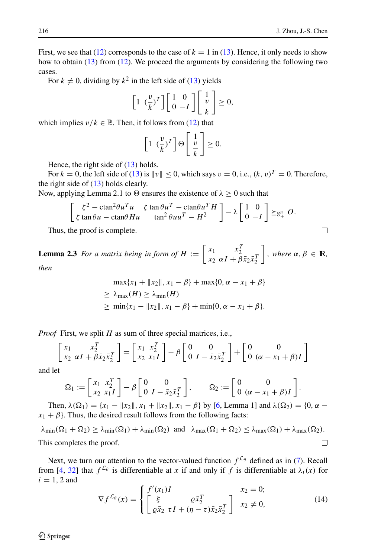$\Box$ 

First, we see that [\(12\)](#page-4-3) corresponds to the case of  $k = 1$  in [\(13\)](#page-4-4). Hence, it only needs to show how to obtain [\(13\)](#page-4-4) from [\(12\)](#page-4-3). We proceed the arguments by considering the following two cases.

For  $k \neq 0$ , dividing by  $k^2$  in the left side of [\(13\)](#page-4-4) yields

$$
\left[1 \left(\frac{v}{k}\right)^{T}\right] \left[\begin{array}{cc} 1 & 0 \\ 0 & -I \end{array}\right] \left[\begin{array}{c} 1 \\ \frac{v}{k} \end{array}\right] \geq 0,
$$

which implies  $v/k \in \mathbb{B}$ . Then, it follows from [\(12\)](#page-4-3) that

$$
\left[1 \left(\frac{v}{k}\right)^T\right] \Theta\left[\frac{1}{\frac{v}{k}}\right] \ge 0.
$$

Hence, the right side of  $(13)$  holds.

For  $k = 0$ , the left side of [\(13\)](#page-4-4) is  $\|v\| \le 0$ , which says  $v = 0$ , i.e.,  $(k, v)^T = 0$ . Therefore, the right side of  $(13)$  holds clearly.

Now, applying Lemma 2.1 to  $\Theta$  ensures the existence of  $\lambda \geq 0$  such that

$$
\begin{bmatrix} \zeta^2 - \mathrm{ctan}^2 \theta u^T u & \zeta \tan \theta u^T - \mathrm{ctan} \theta u^T H \\ \zeta \tan \theta u - \mathrm{ctan} \theta H u & \tan^2 \theta u u^T - H^2 \end{bmatrix} - \lambda \begin{bmatrix} 1 & 0 \\ 0 & -I \end{bmatrix} \succeq_{\mathbb{S}^n_+} O.
$$

Thus, the proof is complete.

**Lemma 2.3** *For a matrix being in form of*  $H := \begin{bmatrix} x_1 & x_2^T \\ x_2 & \alpha I + \beta \bar{x}_2 \bar{x}_2^T \end{bmatrix}$  $\Big]$ *, where*  $\alpha, \beta \in \mathbb{R}$ *, then*

$$
\max\{x_1 + ||x_2||, x_1 - \beta\} + \max\{0, \alpha - x_1 + \beta\}
$$
  
\n
$$
\geq \lambda_{\max}(H) \geq \lambda_{\min}(H)
$$
  
\n
$$
\geq \min\{x_1 - ||x_2||, x_1 - \beta\} + \min\{0, \alpha - x_1 + \beta\}.
$$

*Proof* First, we split *H* as sum of three special matrices, i.e.,

$$
\begin{bmatrix} x_1 & x_1^T \\ x_2 & \alpha I + \beta \bar{x}_2 \bar{x}_2^T \end{bmatrix} = \begin{bmatrix} x_1 & x_1^T \\ x_2 & x_1 I \end{bmatrix} - \beta \begin{bmatrix} 0 & 0 \\ 0 & I - \bar{x}_2 \bar{x}_2^T \end{bmatrix} + \begin{bmatrix} 0 & 0 \\ 0 & (\alpha - x_1 + \beta)I \end{bmatrix}
$$

and let

$$
\Omega_1 := \begin{bmatrix} x_1 & x_2^T \\ x_2 & x_1 I \end{bmatrix} - \beta \begin{bmatrix} 0 & 0 \\ 0 & I - \bar{x}_2 \bar{x}_2^T \end{bmatrix}, \qquad \Omega_2 := \begin{bmatrix} 0 & 0 \\ 0 & (\alpha - x_1 + \beta)I \end{bmatrix}.
$$

Then,  $\lambda(\Omega_1) = \{x_1 - ||x_2||, x_1 + ||x_2||, x_1 - \beta\}$  by [\[6,](#page-20-2) Lemma 1] and  $\lambda(\Omega_2) = \{0, \alpha$  $x_1 + \beta$ . Thus, the desired result follows from the following facts:

 $\lambda$ <sub>min</sub>( $\Omega$ <sub>1</sub> +  $\Omega$ <sub>2</sub>)  $\geq \lambda$ <sub>min</sub>( $\Omega$ <sub>1</sub>) +  $\lambda$ <sub>min</sub>( $\Omega$ <sub>2</sub>) and  $\lambda$ <sub>max</sub>( $\Omega$ <sub>1</sub>+ $\Omega$ <sub>2</sub>)  $\leq \lambda$ <sub>max</sub>( $\Omega$ <sub>1</sub>) +  $\lambda$ <sub>max</sub>( $\Omega$ <sub>2</sub>). This completes the proof.  $\Box$ 

Next, we turn our attention to the vector-valued function  $f^{\mathcal{L}_{\theta}}$  defined as in [\(7\)](#page-1-2). Recall from [\[4,](#page-20-16) [32\]](#page-21-0) that  $f^{\mathcal{L}_{\theta}}$  is differentiable at *x* if and only if *f* is differentiable at  $\lambda_i(x)$  for  $i = 1, 2$  and

<span id="page-5-0"></span>
$$
\nabla f^{\mathcal{L}_{\theta}}(x) = \begin{cases} f'(x_1)I & x_2 = 0; \\ \left[ \xi & e^{\bar{x}_2} \tau I + (\eta - \tau)\bar{x}_2 \bar{x}_2^T \right] & x_2 \neq 0, \end{cases}
$$
(14)

 $\mathcal{D}$  Springer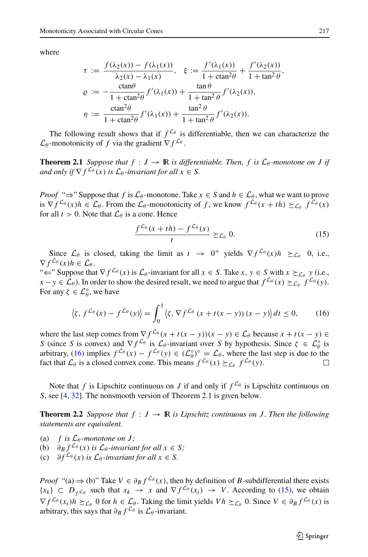where

$$
\tau := \frac{f(\lambda_2(x)) - f(\lambda_1(x))}{\lambda_2(x) - \lambda_1(x)}, \quad \xi := \frac{f'(\lambda_1(x))}{1 + \operatorname{ctan}^2 \theta} + \frac{f'(\lambda_2(x))}{1 + \tan^2 \theta},
$$

$$
\varrho := -\frac{\operatorname{ctan}\theta}{1 + \operatorname{ctan}^2 \theta} f'(\lambda_1(x)) + \frac{\tan\theta}{1 + \tan^2 \theta} f'(\lambda_2(x)),
$$

$$
\eta := \frac{\operatorname{ctan}^2 \theta}{1 + \operatorname{ctan}^2 \theta} f'(\lambda_1(x)) + \frac{\tan^2 \theta}{1 + \tan^2 \theta} f'(\lambda_2(x)).
$$

The following result shows that if  $f^{\mathcal{L}_{\theta}}$  is differentiable, then we can characterize the  $\mathcal{L}_{\theta}$ -monotonicity of *f* via the gradient  $\nabla f^{\mathcal{L}_{\theta}}$ .

**Theorem 2.1** *Suppose that*  $f : J \to \mathbb{R}$  *is differentiable. Then,*  $f$  *is*  $\mathcal{L}_{\theta}$ *-monotone on J if and only if*  $\nabla f^{\mathcal{L}_{\theta}}(x)$  *is*  $\mathcal{L}_{\theta}$ *-invariant for all*  $x \in S$ *.* 

*Proof* " $\Rightarrow$ " Suppose that *f* is  $\mathcal{L}_{\theta}$ -monotone. Take  $x \in S$  and  $h \in \mathcal{L}_{\theta}$ , what we want to prove is  $\nabla f^{\mathcal{L}_{\theta}}(x)h \in \mathcal{L}_{\theta}$ . From the  $\mathcal{L}_{\theta}$ -monotonicity of f, we know  $f^{\mathcal{L}_{\theta}}(x + th) \succeq_{\mathcal{L}_{\theta}} f^{\mathcal{L}_{\theta}}(x)$ for all  $t > 0$ . Note that  $\mathcal{L}_{\theta}$  is a cone. Hence

<span id="page-6-1"></span>
$$
\frac{f^{\mathcal{L}_{\theta}}(x+th)-f^{\mathcal{L}_{\theta}}(x)}{t} \succeq_{\mathcal{L}_{\theta}} 0.
$$
 (15)

Since  $\mathcal{L}_{\theta}$  is closed, taking the limit as  $t \rightarrow 0^+$  yields  $\nabla f^{\mathcal{L}_{\theta}}(x)h \succeq_{\mathcal{L}_{\theta}} 0$ , i.e.,  $\nabla f^{\mathcal{L}_{\theta}}(x)h \in \mathcal{L}_{\theta}$ .

" $\Leftarrow$ " Suppose that  $\nabla f^{\mathcal{L}_{\theta}}(x)$  is  $\mathcal{L}_{\theta}$ -invariant for all  $x \in S$ . Take  $x, y \in S$  with  $x \succeq_{\mathcal{L}_{\theta}} y$  (i.e., *x* − *y* ∈  $\mathcal{L}_{\theta}$ ). In order to show the desired result, we need to argue that  $f^{\mathcal{L}_{\theta}}(x) \succeq_{\mathcal{L}_{\theta}} f^{\mathcal{L}_{\theta}}(y)$ . For any  $\zeta \in \mathcal{L}_{\theta}^{\circ}$ , we have

<span id="page-6-0"></span>
$$
\langle \zeta, f^{\mathcal{L}_{\theta}}(x) - f^{\mathcal{L}_{\theta}}(y) \rangle = \int_0^1 \langle \zeta, \nabla f^{\mathcal{L}_{\theta}}(x + t(x - y)) (x - y) \rangle dt \le 0,
$$
 (16)

where the last step comes from  $\nabla f^{\mathcal{L}_{\theta}}(x+t(x-y))(x-y) \in \mathcal{L}_{\theta}$  because  $x + t(x - y) \in$ *S* (since *S* is convex) and  $\nabla f^{\mathcal{L}_{\theta}}$  is  $\mathcal{L}_{\theta}$ -invariant over *S* by hypothesis. Since  $\zeta \in \mathcal{L}_{\theta}^{\circ}$  is arbitrary, [\(16\)](#page-6-0) implies  $f^{\mathcal{L}_{\theta}}(x) - f^{\mathcal{L}_{\theta}}(y) \in (\mathcal{L}_{\theta}^{\circ})^{\circ} = \mathcal{L}_{\theta}$ , where the last step is due to the fact that  $\mathcal{L}_{\theta}$  is a closed convex cone. This means  $f^{\mathcal{L}_{\theta}}(x) \succeq_{\mathcal{L}_{\theta}} f^{\mathcal{L}_{\theta}}(y)$ .

Note that *f* is Lipschitz continuous on *J* if and only if  $f^{\mathcal{L}_{\theta}}$  is Lipschitz continuous on *S*, see [\[4,](#page-20-16) [32\]](#page-21-0). The nonsmooth version of Theorem 2.1 is given below.

**Theorem 2.2** *Suppose that*  $f : J \to \mathbb{R}$  *is Lipschitz continuous on J. Then the following statements are equivalent.*

- (a) *f* is  $\mathcal{L}_{\theta}$ -monotone on *J*;
- (b)  $\partial_B f^{\mathcal{L}_\theta}(x)$  *is*  $\mathcal{L}_\theta$ *-invariant for all*  $x \in S$ *;*
- (c)  $\partial f^{\mathcal{L}_{\theta}}(x)$  *is*  $\mathcal{L}_{\theta}$ -*invariant for all*  $x \in S$ *.*

*Proof* "(a)  $\Rightarrow$  (b)" Take  $V \in \partial_B f^{\mathcal{L}_{\theta}}(x)$ , then by definition of *B*-subdifferential there exists  ${x_k} \subset D_f c_\theta$  such that  $x_k \to x$  and  $\nabla f^{\mathcal{L}_\theta}(x_i) \to V$ . According to [\(15\)](#page-6-1), we obtain  $\nabla f^{\mathcal{L}_{\theta}}(x_i)h \succeq_{\mathcal{L}_{\theta}} 0$  for  $h \in \mathcal{L}_{\theta}$ . Taking the limit yields  $Vh \succeq_{\mathcal{L}_{\theta}} 0$ . Since  $V \in \partial_B f^{\mathcal{L}_{\theta}}(x)$  is arbitrary, this says that  $\partial_B f^{\mathcal{L}_\theta}$  is  $\mathcal{L}_\theta$ -invariant.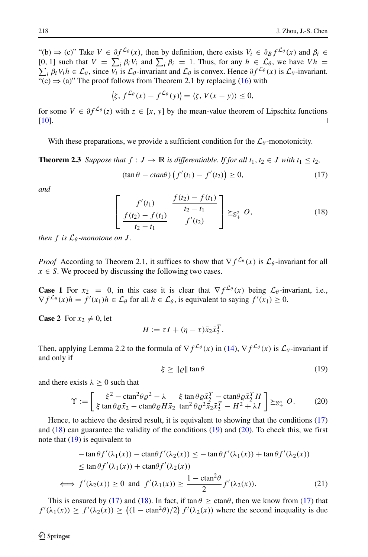"(b)  $\Rightarrow$  (c)" Take  $V \in \partial f^{\mathcal{L}_{\theta}}(x)$ , then by definition, there exists  $V_i \in \partial_B f^{\mathcal{L}_{\theta}}(x)$  and  $\beta_i \in$ [0, 1] such that  $V = \sum_i \beta_i V_i$  and  $\sum_i \beta_i = 1$ . Thus, for any  $h \in \mathcal{L}_{\theta}$ , we have  $V h =$  $\sum_i \beta_i V_i h \in \mathcal{L}_\theta$ , since  $V_i$  is  $\mathcal{L}_\theta$ -invariant and  $\mathcal{L}_\theta$  is convex. Hence  $\partial f^{\mathcal{L}_\theta}(x)$  is  $\mathcal{L}_\theta$ -invariant. "(c)  $\Rightarrow$  (a)" The proof follows from Theorem 2.1 by replacing [\(16\)](#page-6-0) with

$$
\langle \zeta, f^{\mathcal{L}_{\theta}}(x) - f^{\mathcal{L}_{\theta}}(y) \rangle = \langle \zeta, V(x - y) \rangle \leq 0,
$$

for some *V* ∈  $\partial f^{\mathcal{L}_{\theta}}(z)$  with  $z \in [x, y]$  by the mean-value theorem of Lipschitz functions [10]. [\[10\]](#page-20-18).

With these preparations, we provide a sufficient condition for the  $\mathcal{L}_{\theta}$ -monotonicity.

**Theorem 2.3** *Suppose that*  $f : J \to \mathbb{R}$  *is differentiable. If for all*  $t_1, t_2 \in J$  *with*  $t_1 \leq t_2$ *,*  $(\tan \theta - \text{ctan}\theta) \left( f'(t_1) - f'(t_2) \right) \geq 0,$ (17)

*and*

<span id="page-7-1"></span><span id="page-7-0"></span>
$$
\left[\begin{array}{cc} f'(t_1) & \frac{f(t_2) - f(t_1)}{t_2 - t_1} \\ \frac{f(t_2) - f(t_1)}{t_2 - t_1} & f'(t_2) \end{array}\right] \succeq_{\mathbb{S}^2_+} O,
$$
 (18)

*then*  $f$  *is*  $\mathcal{L}_{\theta}$ *-monotone on*  $J$ *.* 

*Proof* According to Theorem 2.1, it suffices to show that  $\nabla f^{\mathcal{L}_{\theta}}(x)$  is  $\mathcal{L}_{\theta}$ -invariant for all  $x \in S$ . We proceed by discussing the following two cases.

**Case 1** For  $x_2 = 0$ , in this case it is clear that  $\nabla f^{\mathcal{L}_{\theta}}(x)$  being  $\mathcal{L}_{\theta}$ -invariant, i.e.,  $\nabla f^{\mathcal{L}_{\theta}}(x)h = f'(x_1)h \in \mathcal{L}_{\theta}$  for all  $h \in \mathcal{L}_{\theta}$ , is equivalent to saying  $f'(x_1) \geq 0$ .

**Case 2** For  $x_2 \neq 0$ , let

$$
H := \tau I + (\eta - \tau) \bar{x}_2 \bar{x}_2^T.
$$

Then, applying Lemma 2.2 to the formula of  $\nabla f^{\mathcal{L}_{\theta}}(x)$  in [\(14\)](#page-5-0),  $\nabla f^{\mathcal{L}_{\theta}}(x)$  is  $\mathcal{L}_{\theta}$ -invariant if and only if

<span id="page-7-2"></span>
$$
\xi \geq \| \varrho \| \tan \theta \tag{19}
$$

and there exists  $\lambda \geq 0$  such that

<span id="page-7-3"></span>
$$
\Upsilon := \begin{bmatrix} \xi^2 - \mathrm{ctan}^2 \theta \varrho^2 - \lambda & \xi \tan \theta \varrho \bar{x}_2^T - \mathrm{ctan} \theta \varrho \bar{x}_2^T H \\ \xi \tan \theta \varrho \bar{x}_2 - \mathrm{ctan} \theta \varrho H \bar{x}_2 & \tan^2 \theta \varrho^2 \bar{x}_2 \bar{x}_2^T - H^2 + \lambda I \end{bmatrix} \succeq_{\mathbb{S}_+^n} O. \tag{20}
$$

Hence, to achieve the desired result, it is equivalent to showing that the conditions [\(17\)](#page-7-0) and  $(18)$  can guarantee the validity of the conditions  $(19)$  and  $(20)$ . To check this, we first note that [\(19\)](#page-7-2) is equivalent to

<span id="page-7-4"></span>
$$
-\tan\theta f'(\lambda_1(x)) - \ctan\theta f'(\lambda_2(x)) \le -\tan\theta f'(\lambda_1(x)) + \tan\theta f'(\lambda_2(x))
$$
  

$$
\le \tan\theta f'(\lambda_1(x)) + \cot\theta f'(\lambda_2(x))
$$
  

$$
\iff f'(\lambda_2(x)) \ge 0 \text{ and } f'(\lambda_1(x)) \ge \frac{1 - \tan^2\theta}{2} f'(\lambda_2(x)).
$$
 (21)

This is ensured by [\(17\)](#page-7-0) and [\(18\)](#page-7-1). In fact, if  $\tan \theta \ge \text{ctan}\theta$ , then we know from (17) that  $f'(\lambda_1(x)) \ge f'(\lambda_2(x)) \ge ((1 - \text{ctan}^2 \theta)/2) f'(\lambda_2(x))$  where the second inequality is due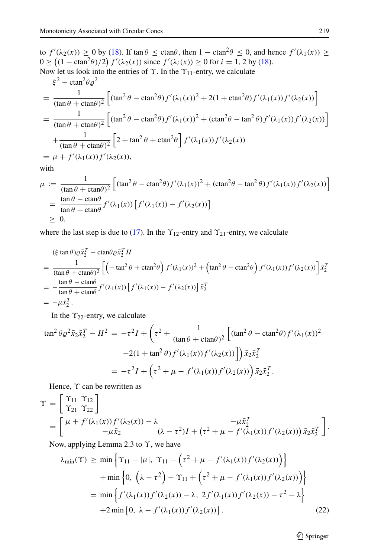to  $f'(\lambda_2(x)) \ge 0$  by [\(18\)](#page-7-1). If  $\tan \theta \le \text{ctan}\theta$ , then  $1 - \text{ctan}^2 \theta \le 0$ , and hence  $f'(\lambda_1(x)) \ge$  $0 \ge ((1 - \text{ctan}^2 \theta)/2) f'(\lambda_2(x))$  since  $f'(\lambda_i(x)) \ge 0$  for  $i = 1, 2$  by [\(18\)](#page-7-1). Now let us look into the entries of *ϒ*. In the *ϒ*11-entry, we calculate

$$
\xi^2 - \text{ctan}^2 \theta \varrho^2
$$
\n
$$
= \frac{1}{(\tan \theta + \text{ctan}\theta)^2} \left[ (\tan^2 \theta - \text{ctan}^2 \theta) f'(\lambda_1(x))^2 + 2(1 + \text{ctan}^2 \theta) f'(\lambda_1(x)) f'(\lambda_2(x)) \right]
$$
\n
$$
= \frac{1}{(\tan \theta + \text{ctan}\theta)^2} \left[ (\tan^2 \theta - \text{ctan}^2 \theta) f'(\lambda_1(x))^2 + (\text{ctan}^2 \theta - \tan^2 \theta) f'(\lambda_1(x)) f'(\lambda_2(x)) \right]
$$
\n
$$
+ \frac{1}{(\tan \theta + \text{ctan}\theta)^2} \left[ 2 + \tan^2 \theta + \text{ctan}^2 \theta \right] f'(\lambda_1(x)) f'(\lambda_2(x))
$$
\n
$$
= \mu + f'(\lambda_1(x)) f'(\lambda_2(x)),
$$

with

$$
\mu := \frac{1}{(\tan \theta + \ctan \theta)^2} \left[ (\tan^2 \theta - \tan^2 \theta) f'(\lambda_1(x))^2 + (\tan^2 \theta - \tan^2 \theta) f'(\lambda_1(x)) f'(\lambda_2(x)) \right]
$$
  
= 
$$
\frac{\tan \theta - \tan \theta}{\tan \theta + \tan \theta} f'(\lambda_1(x)) \left[ f'(\lambda_1(x)) - f'(\lambda_2(x)) \right]
$$
  

$$
\geq 0,
$$

where the last step is due to [\(17\)](#page-7-0). In the  $\Upsilon_{12}$ -entry and  $\Upsilon_{21}$ -entry, we calculate

$$
\begin{split}\n&\text{(}\xi \tan \theta) \varrho \bar{x}_2^T - \text{ctan} \theta \varrho \bar{x}_2^T H \\
&= \frac{1}{(\tan \theta + \text{ctan} \theta)^2} \left[ \left( -\tan^2 \theta + \text{ctan}^2 \theta \right) f'(\lambda_1(x))^2 + \left( \tan^2 \theta - \text{ctan}^2 \theta \right) f'(\lambda_1(x)) f'(\lambda_2(x)) \right] \bar{x}_2^T \\
&= -\frac{\tan \theta - \text{ctan} \theta}{\tan \theta + \text{ctan} \theta} f'(\lambda_1(x)) \left[ f'(\lambda_1(x)) - f'(\lambda_2(x)) \right] \bar{x}_2^T \\
&= -\mu \bar{x}_2^T.\n\end{split}
$$

In the *ϒ*22-entry, we calculate

$$
\tan^2 \theta \varrho^2 \bar{x}_2 \bar{x}_2^T - H^2 = -\tau^2 I + \left(\tau^2 + \frac{1}{(\tan \theta + \ctan \theta)^2} \left[ (\tan^2 \theta - \cot^2 \theta) f'(\lambda_1(x))^2 - 2(1 + \tan^2 \theta) f'(\lambda_1(x)) f'(\lambda_2(x)) \right] \bar{x}_2 \bar{x}_2^T
$$
  
=  $-\tau^2 I + \left(\tau^2 + \mu - f'(\lambda_1(x)) f'(\lambda_2(x)) \right) \bar{x}_2 \bar{x}_2^T.$ 

Hence, *ϒ* can be rewritten as

$$
\begin{split} \Upsilon &= \begin{bmatrix} \Upsilon_{11} & \Upsilon_{12} \\ \Upsilon_{21} & \Upsilon_{22} \end{bmatrix} \\ &= \begin{bmatrix} \mu + f'(\lambda_1(x))f'(\lambda_2(x)) - \lambda & -\mu \bar{x}_2^T \\ -\mu \bar{x}_2 & (\lambda - \tau^2)I + (\tau^2 + \mu - f'(\lambda_1(x))f'(\lambda_2(x))) \bar{x}_2 \bar{x}_2^T \end{bmatrix} .\end{split}
$$

Now, applying Lemma 2.3 to *ϒ*, we have

<span id="page-8-0"></span>
$$
\lambda_{\min}(\Upsilon) \ge \min \left\{ \Upsilon_{11} - |\mu|, \ \Upsilon_{11} - \left( \tau^2 + \mu - f'(\lambda_1(x)) f'(\lambda_2(x)) \right) \right\} \n+ \min \left\{ 0, \ \left( \lambda - \tau^2 \right) - \Upsilon_{11} + \left( \tau^2 + \mu - f'(\lambda_1(x)) f'(\lambda_2(x)) \right) \right\} \n= \min \left\{ f'(\lambda_1(x)) f'(\lambda_2(x)) - \lambda, \ 2 f'(\lambda_1(x)) f'(\lambda_2(x)) - \tau^2 - \lambda \right\} \n+ 2 \min \left\{ 0, \ \lambda - f'(\lambda_1(x)) f'(\lambda_2(x)) \right\}.
$$
\n(22)

**◯** Springer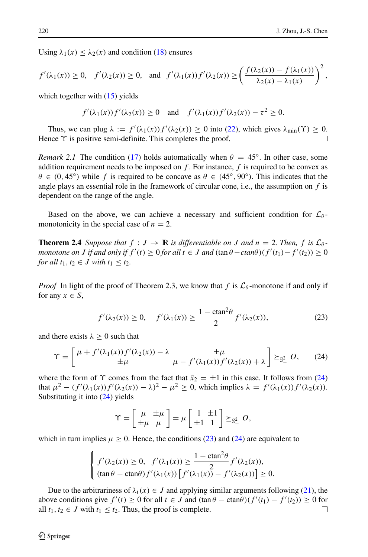Using  $\lambda_1(x) \leq \lambda_2(x)$  and condition [\(18\)](#page-7-1) ensures

$$
f'(\lambda_1(x)) \ge 0, \quad f'(\lambda_2(x)) \ge 0, \quad \text{and} \quad f'(\lambda_1(x))f'(\lambda_2(x)) \ge \left(\frac{f(\lambda_2(x)) - f(\lambda_1(x))}{\lambda_2(x) - \lambda_1(x)}\right)^2,
$$

which together with  $(15)$  yields

$$
f'(\lambda_1(x))f'(\lambda_2(x)) \ge 0 \quad \text{and} \quad f'(\lambda_1(x))f'(\lambda_2(x)) - \tau^2 \ge 0.
$$

Thus, we can plug  $\lambda := f'(\lambda_1(x))f'(\lambda_2(x)) \ge 0$  into [\(22\)](#page-8-0), which gives  $\lambda_{\min}(\Upsilon) \ge 0$ . Hence *ϒ* is positive semi-definite. This completes the proof.

*Remark 2.1* The condition [\(17\)](#page-7-0) holds automatically when  $\theta = 45^\circ$ . In other case, some addition requirement needs to be imposed on  $f$ . For instance,  $f$  is required to be convex as  $\theta \in (0, 45°)$  while f is required to be concave as  $\theta \in (45°, 90°)$ . This indicates that the angle plays an essential role in the framework of circular cone, i.e., the assumption on *f* is dependent on the range of the angle.

Based on the above, we can achieve a necessary and sufficient condition for  $\mathcal{L}_{\theta}$ monotonicity in the special case of  $n = 2$ .

**Theorem 2.4** *Suppose that*  $f : J \to \mathbb{R}$  *is differentiable on J* and  $n = 2$ . Then,  $f$  *is*  $\mathcal{L}_{\theta}$ *monotone on J* if and only if  $f'(t) \ge 0$  for all  $t \in J$  and  $(\tan \theta - \ctan \theta)(f'(t_1) - f'(t_2)) \ge 0$ *for all*  $t_1, t_2 \in J$  *with*  $t_1 \leq t_2$ *.* 

*Proof* In light of the proof of Theorem 2.3, we know that *f* is  $\mathcal{L}_{\theta}$ -monotone if and only if for any  $x \in S$ ,

<span id="page-9-1"></span>
$$
f'(\lambda_2(x)) \ge 0
$$
,  $f'(\lambda_1(x)) \ge \frac{1 - \text{ctan}^2 \theta}{2} f'(\lambda_2(x))$ , (23)

and there exists  $\lambda \geq 0$  such that

<span id="page-9-0"></span>
$$
\Upsilon = \begin{bmatrix} \mu + f'(\lambda_1(x)) f'(\lambda_2(x)) - \lambda & \pm \mu \\ \pm \mu & \mu - f'(\lambda_1(x)) f'(\lambda_2(x)) + \lambda \end{bmatrix} \succeq_{\mathbb{S}_+^2} O,
$$
 (24)

where the form of *Y* comes from the fact that  $\bar{x}_2 = \pm 1$  in this case. It follows from [\(24\)](#page-9-0) that  $\mu^2 - (f'(\lambda_1(x))f'(\lambda_2(x)) - \lambda)^2 - \mu^2 \ge 0$ , which implies  $\lambda = f'(\lambda_1(x))f'(\lambda_2(x))$ . Substituting it into [\(24\)](#page-9-0) yields

$$
\Upsilon = \begin{bmatrix} \mu & \pm \mu \\ \pm \mu & \mu \end{bmatrix} = \mu \begin{bmatrix} 1 & \pm 1 \\ \pm 1 & 1 \end{bmatrix} \succeq_{\mathbb{S}^2_+} O,
$$

which in turn implies  $\mu \geq 0$ . Hence, the conditions [\(23\)](#page-9-1) and [\(24\)](#page-9-0) are equivalent to

$$
\begin{cases}\nf'(\lambda_2(x)) \ge 0, & f'(\lambda_1(x)) \ge \frac{1 - \operatorname{ctan}^2 \theta}{2} f'(\lambda_2(x)), \\
(\tan \theta - \operatorname{ctan} \theta) f'(\lambda_1(x)) [f'(\lambda_1(x)) - f'(\lambda_2(x))] \ge 0.\n\end{cases}
$$

Due to the arbitrariness of  $\lambda_i(x) \in J$  and applying similar arguments following [\(21\)](#page-7-4), the above conditions give  $f'(t) \ge 0$  for all  $t \in J$  and  $(\tan \theta - \tan \theta)(f'(t_1) - f'(t_2)) \ge 0$  for all  $t_1, t_2 \in J$  with  $t_1 \leq t_2$ . Thus, the proof is complete.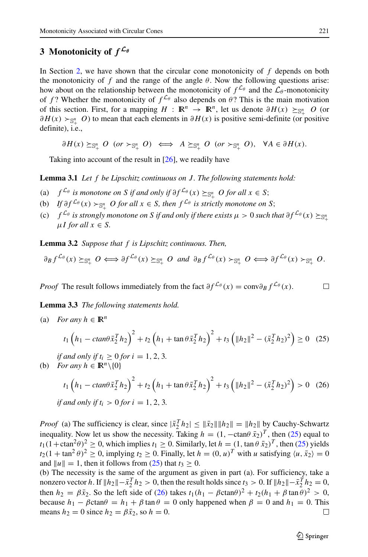## <span id="page-10-2"></span>**3 Monotonicity of** *f L<sup>θ</sup>*

In Section [2,](#page-3-0) we have shown that the circular cone monotonicity of *f* depends on both the monotonicity of  $f$  and the range of the angle  $\theta$ . Now the following questions arise: how about on the relationship between the monotonicity of  $f^{\mathcal{L}_{\theta}}$  and the  $\mathcal{L}_{\theta}$ -monotonicity of *f* ? Whether the monotonicity of  $f^{\mathcal{L}_\theta}$  also depends on  $\theta$ ? This is the main motivation of this section. First, for a mapping  $H : \mathbb{R}^n \to \mathbb{R}^n$ , let us denote  $\partial H(x) \geq_{\mathbb{S}^n_+} O$  (or *∂H*(*x*) >  $s_{\alpha}$ <sup>*n*</sup> *O*) to mean that each elements in *∂H*(*x*) is positive semi-definite (or positive definite), i.e.,

 $\partial H(x) \succeq_{\mathbb{S}_+^n} O$  (or  $\succ_{\mathbb{S}_+^n} O$ )  $\iff A \succeq_{\mathbb{S}_+^n} O$  (or  $\succ_{\mathbb{S}_+^n} O$ ),  $\forall A \in \partial H(x)$ .

Taking into account of the result in [\[26\]](#page-21-12), we readily have

**Lemma 3.1** *Let f be Lipschitz continuous on J . The following statements hold:*

- (a)  $f^{\mathcal{L}_{\theta}}$  *is monotone on S if and only if*  $\partial f^{\mathcal{L}_{\theta}}(x) \succeq_{\mathbb{S}^n_+} O$  *for all*  $x \in S$ ;
- (b) *If*  $\partial f^L \theta(x) \succ_{\mathbb{S}_+^n} O$  *for all*  $x \in S$ *, then*  $f^L \theta$  *is strictly monotone on S*;
- (c)  $f^{\mathcal{L}_{\theta}}$  *is strongly monotone on S if and only if there exists*  $\mu > 0$  *such that*  $\partial f^{\mathcal{L}_{\theta}}(x) \succeq_{S_1^n}$ +  $\mu I$  *for all*  $x \in S$ *.*

**Lemma 3.2** *Suppose that f is Lipschitz continuous. Then,*

$$
\partial_B f^{\mathcal{L}_{\theta}}(x) \succeq_{\mathbb{S}_+^n} O \iff \partial f^{\mathcal{L}_{\theta}}(x) \succeq_{\mathbb{S}_+^n} O \text{ and } \partial_B f^{\mathcal{L}_{\theta}}(x) \succ_{\mathbb{S}_+^n} O \iff \partial f^{\mathcal{L}_{\theta}}(x) \succ_{\mathbb{S}_+^n} O.
$$

*Proof* The result follows immediately from the fact  $\partial f^{\mathcal{L}_{\theta}}(x) = \text{conv}\partial_B f^{\mathcal{L}_{\theta}}(x)$ .  $\Box$ 

**Lemma 3.3** *The following statements hold.*

(a) *For any*  $h \in \mathbb{R}^n$ 

<span id="page-10-0"></span>
$$
t_1\left(h_1 - \frac{\tan\theta \bar{x}_2^T h_2}{\sin\theta \bar{x}_2^T h_2}\right)^2 + t_2\left(h_1 + \tan\theta \bar{x}_2^T h_2\right)^2 + t_3\left(\|h_2\|^2 - \left(\bar{x}_2^T h_2\right)^2\right) \ge 0 \quad (25)
$$

*if and only if*  $t_i \geq 0$  *for*  $i = 1, 2, 3$ *.* 

(b) *For any*  $h \in \mathbb{R}^n \setminus \{0\}$ 

<span id="page-10-1"></span>
$$
t_1 \left( h_1 - \text{ctan}\theta \bar{x}_2^T h_2 \right)^2 + t_2 \left( h_1 + \tan \theta \bar{x}_2^T h_2 \right)^2 + t_3 \left( \|h_2\|^2 - (\bar{x}_2^T h_2)^2 \right) > 0 \quad (26)
$$
  
if and only if  $t_i > 0$  for  $i = 1, 2, 3$ .

*Proof* (a) The sufficiency is clear, since  $|\bar{x}_2^T h_2| \le ||\bar{x}_2|| ||h_2|| = ||h_2||$  by Cauchy-Schwartz inequality. Now let us show the necessity. Taking  $h = (1, -\text{ctan}\theta \bar{x}_2)^T$ , then [\(25\)](#page-10-0) equal to  $t_1(1+\text{ctan}^2\theta)^2 \geq 0$ , which implies  $t_1 \geq 0$ . Similarly, let  $h = (1, \tan \theta \bar{x}_2)^T$ , then [\(25\)](#page-10-0) yields  $t_2(1 + \tan^2 \theta)^2 \ge 0$ , implying  $t_2 \ge 0$ . Finally, let  $h = (0, u)^T$  with *u* satisfying  $\langle u, \bar{x}_2 \rangle = 0$ and  $||u|| = 1$ , then it follows from [\(25\)](#page-10-0) that  $t_3 \geq 0$ .

(b) The necessity is the same of the argument as given in part (a). For sufficiency, take a nonzero vector *h*. If  $||h_2|| - \bar{x}_2^T h_2 > 0$ , then the result holds since  $t_3 > 0$ . If  $||h_2|| - \bar{x}_2^T h_2 = 0$ , then  $h_2 = \beta \bar{x}_2$ . So the left side of [\(26\)](#page-10-1) takes  $t_1(h_1 - \beta \text{ctan}\theta)^2 + t_2(h_1 + \beta \text{tan}\theta)^2 > 0$ , because *h*<sub>1</sub> − *β*ctan $θ$  = *h*<sub>1</sub> + *β* tan  $θ$  = 0 only happened when  $β$  = 0 and *h*<sub>1</sub> = 0. This means  $h_2 = 0$  since  $h_2 = \beta \bar{x}_2$ , so  $h = 0$ . П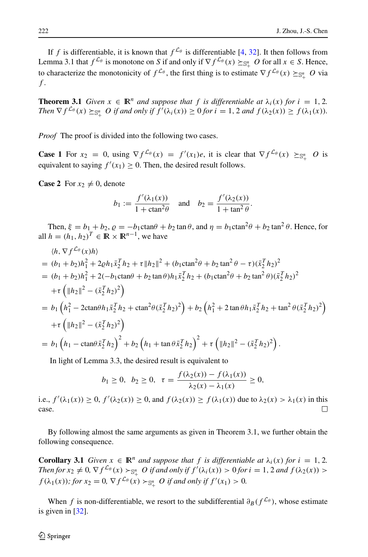If *f* is differentiable, it is known that  $f^{\mathcal{L}_{\theta}}$  is differentiable [\[4,](#page-20-16) [32\]](#page-21-0). It then follows from Lemma 3.1 that  $f^{\mathcal{L}_{\theta}}$  is monotone on *S* if and only if  $\nabla f^{\mathcal{L}_{\theta}}(x) \geq_{\mathbb{S}^n_+} O$  for all  $x \in S$ . Hence, to characterize the monotonicity of  $f^{\mathcal{L}_\theta}$ , the first thing is to estimate  $\nabla f^{\mathcal{L}_\theta}(x) \succeq_{\mathbb{S}^n_+} O$  via *f* .

**Theorem 3.1** *Given*  $x \in \mathbb{R}^n$  *and suppose that f is differentiable at*  $\lambda_i(x)$  *for*  $i = 1, 2$ *. Then*  $\nabla f^{\mathcal{L}_{\theta}}(x) \succeq_{\mathbb{S}_+^n} O$  *if and only if*  $f'(\lambda_i(x)) \ge 0$  *for*  $i = 1, 2$  *and*  $f(\lambda_2(x)) \ge f(\lambda_1(x))$ *.* 

*Proof* The proof is divided into the following two cases.

**Case 1** For  $x_2 = 0$ , using  $\nabla f^{\mathcal{L}_{\theta}}(x) = f'(x_1)e$ , it is clear that  $\nabla f^{\mathcal{L}_{\theta}}(x) \succeq_{\mathbb{S}^n_+} O$  is equivalent to saying  $f'(x_1) \geq 0$ . Then, the desired result follows.

**Case 2** For  $x_2 \neq 0$ , denote

$$
b_1 := \frac{f'(\lambda_1(x))}{1 + \operatorname{ctan}^2 \theta} \quad \text{and} \quad b_2 = \frac{f'(\lambda_2(x))}{1 + \tan^2 \theta}.
$$

Then,  $\xi = b_1 + b_2$ ,  $\rho = -b_1 \text{ctan}\theta + b_2 \text{tan}\theta$ , and  $\eta = b_1 \text{ctan}^2\theta + b_2 \text{tan}^2\theta$ . Hence, for all  $h = (h_1, h_2)^T \in \mathbb{R} \times \mathbb{R}^{n-1}$ , we have

$$
\langle h, \nabla f^{\mathcal{L}_{\theta}}(x)h \rangle
$$
  
=  $(b_1 + b_2)h_1^2 + 2\varrho h_1 \bar{x}_2^T h_2 + \tau \|h_2\|^2 + (b_1 \text{ctan}^2 \theta + b_2 \text{tan}^2 \theta - \tau)(\bar{x}_2^T h_2)^2$   
=  $(b_1 + b_2)h_1^2 + 2(-b_1 \text{ctan} \theta + b_2 \text{tan} \theta)h_1 \bar{x}_2^T h_2 + (b_1 \text{ctan}^2 \theta + b_2 \text{tan}^2 \theta)(\bar{x}_2^T h_2)^2$   
+  $\tau \left( \|h_2\|^2 - (\bar{x}_2^T h_2)^2 \right)$   
=  $b_1 \left( h_1^2 - 2 \text{ctan} \theta h_1 \bar{x}_2^T h_2 + \text{ctan}^2 \theta(\bar{x}_2^T h_2)^2 \right) + b_2 \left( h_1^2 + 2 \text{tan} \theta h_1 \bar{x}_2^T h_2 + \text{tan}^2 \theta(\bar{x}_2^T h_2)^2 \right)$   
+  $\tau \left( \|h_2\|^2 - (\bar{x}_2^T h_2)^2 \right)$   
=  $b_1 \left( h_1 - \text{ctan} \theta \bar{x}_2^T h_2 \right)^2 + b_2 \left( h_1 + \text{tan} \theta \bar{x}_2^T h_2 \right)^2 + \tau \left( \|h_2\|^2 - (\bar{x}_2^T h_2)^2 \right).$ 

In light of Lemma 3.3, the desired result is equivalent to

$$
b_1 \ge 0
$$
,  $b_2 \ge 0$ ,  $\tau = \frac{f(\lambda_2(x)) - f(\lambda_1(x))}{\lambda_2(x) - \lambda_1(x)} \ge 0$ ,

i.e.,  $f'(\lambda_1(x)) \ge 0$ ,  $f'(\lambda_2(x)) \ge 0$ , and  $f(\lambda_2(x)) \ge f(\lambda_1(x))$  due to  $\lambda_2(x) > \lambda_1(x)$  in this case.

By following almost the same arguments as given in Theorem 3.1, we further obtain the following consequence.

**Corollary 3.1** *Given*  $x \in \mathbb{R}^n$  *and suppose that*  $f$  *is differentiable at*  $\lambda_i(x)$  *for*  $i = 1, 2$ *. Then for*  $x_2 \neq 0$ ,  $\nabla f^{\mathcal{L}_{\theta}}(x) > \mathbb{S}^n_+$  *O* if and only if  $f'(\lambda_i(x)) > 0$  for  $i = 1, 2$  and  $f(\lambda_2(x)) > 0$  $f(\lambda_1(x))$ ; for  $x_2 = 0$ ,  $\nabla f^{L_{\theta}}(x) > \mathbb{S}^n_+$  *O* if and only if  $f'(x_1) > 0$ .

When *f* is non-differentiable, we resort to the subdifferential  $\partial_B(f^{\mathcal{L}_{\theta}})$ , whose estimate is given in [\[32\]](#page-21-0).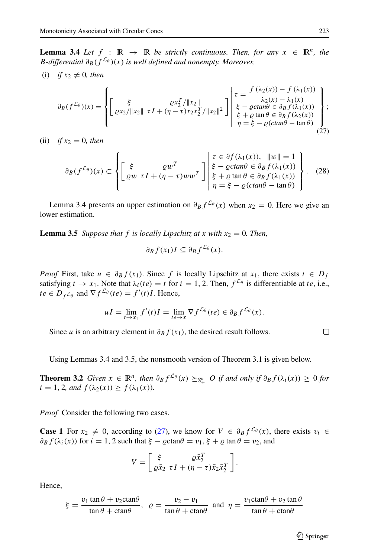**Lemma 3.4** *Let*  $f : \mathbb{R} \to \mathbb{R}$  *be strictly continuous. Then, for any*  $x \in \mathbb{R}^n$ *, the B-differential*  $\partial_B(f^{\mathcal{L}_{\theta}})(x)$  *is well defined and nonempty. Moreover,* 

 $(i)$  *if*  $x_2 \neq 0$ *, then* 

<span id="page-12-0"></span>
$$
\partial_B(f^{\mathcal{L}_{\theta}})(x) = \left\{ \begin{bmatrix} \xi & \varrho x_2^T / ||x_2|| \\ \varrho x_2 / ||x_2|| & \tau I + (\eta - \tau) x_2 x_2^T / ||x_2||^2 \end{bmatrix} \middle| \begin{array}{l} \tau = \frac{f(\lambda_2(x)) - f(\lambda_1(x))}{\lambda_2(x) - \lambda_1(x)} \\ \xi - \varrho ctan\theta \in \partial_B f(\lambda_1(x)) \\ \xi + \varrho \tan \theta \in \partial_B f(\lambda_2(x)) \\ \eta = \xi - \varrho(ctan\theta - \tan \theta) \end{array} \right\};
$$
\n(27)

(ii) *if*  $x_2 = 0$ *, then* 

<span id="page-12-1"></span>
$$
\partial_B(f^{\mathcal{L}_{\theta}})(x) \subset \left\{ \begin{bmatrix} \xi & \varrho w^T \\ \varrho w & \tau I + (\eta - \tau) w w^T \end{bmatrix} \middle| \begin{array}{l} \tau \in \partial f(\lambda_1(x)), & \|w\| = 1 \\ \xi - \varrho ctan\theta \in \partial_B f(\lambda_1(x)) \\ \xi + \varrho \tan \theta \in \partial_B f(\lambda_1(x)) \\ \eta = \xi - \varrho (ctan\theta - \tan\theta) \end{array} \right\}.
$$
 (28)

Lemma 3.4 presents an upper estimation on  $\partial_B f^{\mathcal{L}_{\theta}}(x)$  when  $x_2 = 0$ . Here we give an lower estimation.

**Lemma 3.5** *Suppose that*  $f$  *is locally Lipschitz at*  $x$  *with*  $x_2 = 0$ *. Then,* 

$$
\partial_B f(x_1) I \subseteq \partial_B f^{\mathcal{L}_{\theta}}(x).
$$

*Proof* First, take  $u \in \partial_B f(x_1)$ . Since f is locally Lipschitz at  $x_1$ , there exists  $t \in D_f$ satisfying  $t \to x_1$ . Note that  $\lambda_i(te) = t$  for  $i = 1, 2$ . Then,  $f^{\mathcal{L}_{\theta}}$  is differentiable at *te*, i.e.,  $te \in D_f \mathcal{L}_{\theta}$  and  $\nabla f^{\mathcal{L}_{\theta}}(te) = f'(t)I$ . Hence,

$$
uI = \lim_{t \to x_1} f'(t)I = \lim_{t \to x} \nabla f^{\mathcal{L}_{\theta}}(te) \in \partial_B f^{\mathcal{L}_{\theta}}(x).
$$

Since *u* is an arbitrary element in  $\partial_B f(x_1)$ , the desired result follows.

Using Lemmas 3.4 and 3.5, the nonsmooth version of Theorem 3.1 is given below.

**Theorem 3.2** *Given*  $x \in \mathbb{R}^n$ *, then*  $\partial_B f^{\mathcal{L}_\theta}(x) \succeq_{\mathbb{S}_+^n} O$  *if and only if*  $\partial_B f(\lambda_i(x)) \geq 0$  *for*  $i = 1, 2, and f(\lambda_2(x)) \ge f(\lambda_1(x)).$ 

*Proof* Consider the following two cases.

**Case 1** For  $x_2 \neq 0$ , according to [\(27\)](#page-12-0), we know for  $V \in \partial_B f^{\mathcal{L}_\theta}(x)$ , there exists  $v_i \in$  $\partial_B f(\lambda_i(x))$  for  $i = 1, 2$  such that  $\xi - \varrho \text{ctan}\theta = v_1, \xi + \varrho \text{tan}\theta = v_2$ , and

$$
V = \begin{bmatrix} \xi & \varrho \bar{x}_2^T \\ \varrho \bar{x}_2 & \tau I + (\eta - \tau) \bar{x}_2 \bar{x}_2^T \end{bmatrix}.
$$

Hence,

$$
\xi = \frac{v_1 \tan \theta + v_2 \cot \theta}{\tan \theta + \cot \theta}, \ \ \varrho = \frac{v_2 - v_1}{\tan \theta + \cot \theta} \ \text{ and } \ \eta = \frac{v_1 \cot \theta + v_2 \tan \theta}{\tan \theta + \cot \theta}
$$

 $\Box$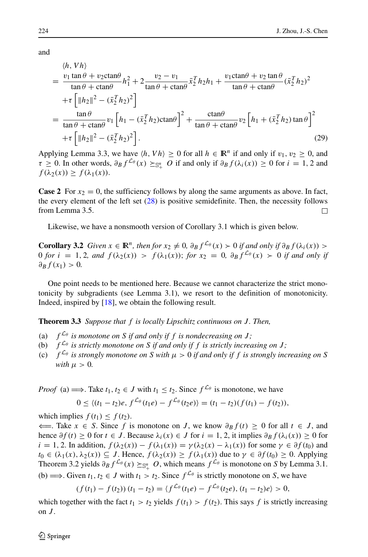and

<span id="page-13-0"></span>
$$
\begin{split}\n&= \frac{\langle h, Vh \rangle}{\tan \theta + \cot \theta} \\
&= \frac{v_1 \tan \theta + v_2 \cot \theta}{\tan \theta + \cot \theta} h_1^2 + 2 \frac{v_2 - v_1}{\tan \theta + \cot \theta} \bar{x}_2^T h_2 h_1 + \frac{v_1 \cot \theta + v_2 \tan \theta}{\tan \theta + \cot \theta} (\bar{x}_2^T h_2)^2 \\
&+ \tau \left[ \|h_2\|^2 - (\bar{x}_2^T h_2)^2 \right] \\
&= \frac{\tan \theta}{\tan \theta + \cot \theta} v_1 \left[ h_1 - (\bar{x}_2^T h_2) \cot \theta \right]^2 + \frac{\cot \theta}{\tan \theta + \cot \theta} v_2 \left[ h_1 + (\bar{x}_2^T h_2) \tan \theta \right]^2 \\
&+ \tau \left[ \|h_2\|^2 - (\bar{x}_2^T h_2)^2 \right].\n\end{split}
$$
\n(29)

Applying Lemma 3.3, we have  $\langle h, V h \rangle \ge 0$  for all  $h \in \mathbb{R}^n$  if and only if  $v_1, v_2 \ge 0$ , and  $\tau \geq 0$ . In other words,  $\partial_B f^{\mathcal{L}_{\theta}}(x) \succeq_{\mathbb{S}_+^n} O$  if and only if  $\partial_B f(\lambda_i(x)) \geq 0$  for  $i = 1, 2$  and  $f(\lambda_2(x)) \geq f(\lambda_1(x)).$ 

**Case 2** For  $x_2 = 0$ , the sufficiency follows by along the same arguments as above. In fact, the every element of the left set  $(28)$  is positive semidefinite. Then, the necessity follows from Lemma 3.5.  $\Box$ 

Likewise, we have a nonsmooth version of Corollary 3.1 which is given below.

**Corollary 3.2** *Given*  $x \in \mathbb{R}^n$ *, then for*  $x_2 \neq 0$ *,*  $\partial_B f^{\mathcal{L}_\theta}(x) > 0$  *if and only if*  $\partial_B f(\lambda_i(x)) > 0$ 0 *for*  $i = 1, 2$ *, and*  $f(\lambda_2(x)) > f(\lambda_1(x))$ ; *for*  $x_2 = 0$ ,  $\partial_B f^{\mathcal{L}_\theta}(x) > 0$  *if and only if*  $\partial_B f(x_1) > 0$ .

One point needs to be mentioned here. Because we cannot characterize the strict monotonicity by subgradients (see Lemma 3.1), we resort to the definition of monotonicity. Indeed, inspired by [\[18\]](#page-20-17), we obtain the following result.

**Theorem 3.3** *Suppose that f is locally Lipschitz continuous on J . Then,*

- (a)  $f^{\mathcal{L}_{\theta}}$  *is monotone on S if and only if f is nondecreasing on J*;
- (b)  $f^{\mathcal{L}_{\theta}}$  *is strictly monotone on S if and only if f is strictly increasing on J*;
- (c)  $f^{\mathcal{L}_{\theta}}$  *is strongly monotone on S with*  $\mu > 0$  *if and only if f is strongly increasing on S with*  $\mu > 0$ .

*Proof* (a)  $\implies$  Take  $t_1, t_2 \in J$  with  $t_1 \leq t_2$ . Since  $f^{\mathcal{L}_{\theta}}$  is monotone, we have

$$
0 \le \langle (t_1-t_2)e, f^{\mathcal{L}_{\theta}}(t_1e) - f^{\mathcal{L}_{\theta}}(t_2e) \rangle = (t_1-t_2)(f(t_1)-f(t_2)),
$$

which implies  $f(t_1) \leq f(t_2)$ .

 $\leftarrow$  Take *x* ∈ *S*. Since *f* is monotone on *J*, we know  $\partial_B f(t) \geq 0$  for all  $t \in J$ , and hence  $\partial f(t) \geq 0$  for  $t \in J$ . Because  $\lambda_i(x) \in J$  for  $i = 1, 2$ , it implies  $\partial_B f(\lambda_i(x)) \geq 0$  for  $i = 1, 2$ . In addition,  $f(\lambda_2(x)) - f(\lambda_1(x)) = \gamma(\lambda_2(x) - \lambda_1(x))$  for some  $\gamma \in \partial f(t_0)$  and *t*<sub>0</sub> ∈  $(\lambda_1(x), \lambda_2(x))$  ⊆ *J*. Hence,  $f(\lambda_2(x)) \ge f(\lambda_1(x))$  due to  $\gamma \in \partial f(t_0) \ge 0$ . Applying Theorem 3.2 yields  $\partial_B f^{\mathcal{L}_\theta}(x) \succeq_{\mathbb{S}_+^n} O$ , which means  $f^{\mathcal{L}_\theta}$  is monotone on *S* by Lemma 3.1. (b)  $\implies$  Given *t*<sub>1</sub>, *t*<sub>2</sub> ∈ *J* with *t*<sub>1</sub> > *t*<sub>2</sub>. Since  $f^{\mathcal{L}_{\theta}}$  is strictly monotone on *S*, we have

$$
(f(t_1)-f(t_2))(t_1-t_2)=\langle f^{\mathcal{L}_{\theta}}(t_1e)-f^{\mathcal{L}_{\theta}}(t_2e),(t_1-t_2)e\rangle>0,
$$

which together with the fact  $t_1 > t_2$  yields  $f(t_1) > f(t_2)$ . This says f is strictly increasing on  $J$ .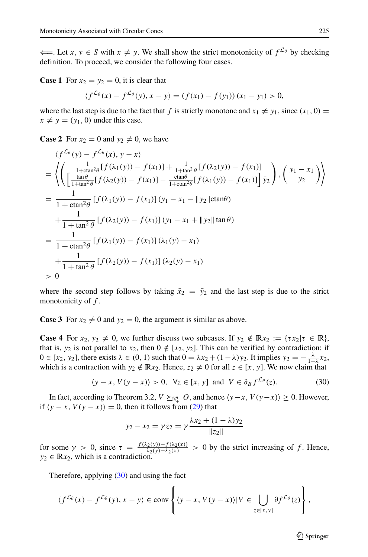$\leftarrow$ . Let *x*, *y* ∈ *S* with *x*  $\neq$  *y*. We shall show the strict monotonicity of  $f^{\mathcal{L}_{\theta}}$  by checking definition. To proceed, we consider the following four cases.

**Case 1** For  $x_2 = y_2 = 0$ , it is clear that

$$
\langle f^{\mathcal{L}_{\theta}}(x) - f^{\mathcal{L}_{\theta}}(y), x - y \rangle = (f(x_1) - f(y_1)) (x_1 - y_1) > 0,
$$

where the last step is due to the fact that *f* is strictly monotone and  $x_1 \neq y_1$ , since  $(x_1, 0)$  =  $x \neq y = (y_1, 0)$  under this case.

**Case 2** For  $x_2 = 0$  and  $y_2 \neq 0$ , we have

$$
\langle f^{L_{\theta}}(y) - f^{L_{\theta}}(x), y - x \rangle
$$
\n=
$$
\left\langle \left( \frac{\frac{1}{1 + \tan^{2} \theta} [f(\lambda_{1}(y)) - f(x_{1})] + \frac{1}{1 + \tan^{2} \theta} [f(\lambda_{2}(y)) - f(x_{1})]}{\frac{\tan \theta}{1 + \tan^{2} \theta} [f(\lambda_{2}(y)) - f(x_{1})] - \frac{\cot \theta}{1 + \cot^{2} \theta} [f(\lambda_{1}(y)) - f(x_{1})]} \right] \overline{y}_{2} \right\rangle, \left( \frac{y_{1} - x_{1}}{y_{2}} \right\rangle
$$
\n=
$$
\frac{1}{1 + \tan^{2} \theta} [f(\lambda_{1}(y)) - f(x_{1})] (y_{1} - x_{1} - ||y_{2}|| \cot \theta)
$$
\n+
$$
\frac{1}{1 + \tan^{2} \theta} [f(\lambda_{2}(y)) - f(x_{1})] (y_{1} - x_{1} + ||y_{2}|| \tan \theta)
$$
\n=
$$
\frac{1}{1 + \cot^{2} \theta} [f(\lambda_{1}(y)) - f(x_{1})] (\lambda_{1}(y) - x_{1})
$$
\n+
$$
\frac{1}{1 + \tan^{2} \theta} [f(\lambda_{2}(y)) - f(x_{1})] (\lambda_{2}(y) - x_{1})
$$
\n
$$
> 0
$$

where the second step follows by taking  $\bar{x}_2 = \bar{y}_2$  and the last step is due to the strict monotonicity of *f* .

**Case 3** For  $x_2 \neq 0$  and  $y_2 = 0$ , the argument is similar as above.

**Case 4** For  $x_2, y_2 \neq 0$ , we further discuss two subcases. If  $y_2 \notin \mathbb{R}x_2 := \{ \tau x_2 | \tau \in \mathbb{R} \}$ , that is,  $y_2$  is not parallel to  $x_2$ , then  $0 \notin [x_2, y_2]$ . This can be verified by contradiction: if  $0 \in [x_2, y_2]$ , there exists  $\lambda \in (0, 1)$  such that  $0 = \lambda x_2 + (1 - \lambda) y_2$ . It implies  $y_2 = -\frac{\lambda}{1-\lambda} x_2$ , which is a contraction with  $y_2 \notin \mathbb{R}x_2$ . Hence,  $z_2 \neq 0$  for all  $z \in [x, y]$ . We now claim that

<span id="page-14-0"></span>
$$
\langle y - x, V(y - x) \rangle > 0, \ \forall z \in [x, y] \ \text{and} \ \ V \in \partial_B f^{\mathcal{L}_{\theta}}(z). \tag{30}
$$

In fact, according to Theorem 3.2,  $V \succeq_{\mathbb{S}_+^n} O$ , and hence  $\langle y-x, V(y-x) \rangle \ge 0$ . However, if  $\langle y - x, V(y - x) \rangle = 0$ , then it follows from [\(29\)](#page-13-0) that

$$
y_2 - x_2 = \gamma \bar{z}_2 = \gamma \frac{\lambda x_2 + (1 - \lambda) y_2}{\|z_2\|}
$$

for some  $\gamma > 0$ , since  $\tau = \frac{f(\lambda_2(y)) - f(\lambda_2(x))}{\lambda_2(y) - \lambda_2(x)} > 0$  by the strict increasing of *f*. Hence,  $y_2 \in \mathbb{R}x_2$ , which is a contradiction.

Therefore, applying  $(30)$  and using the fact

$$
\langle f^{\mathcal{L}_{\theta}}(x) - f^{\mathcal{L}_{\theta}}(y), x - y \rangle \in \text{conv}\left\{ \langle y - x, V(y - x) \rangle | V \in \bigcup_{z \in [x, y]} \partial f^{\mathcal{L}_{\theta}}(z) \right\},\
$$

 $\mathcal{D}$  Springer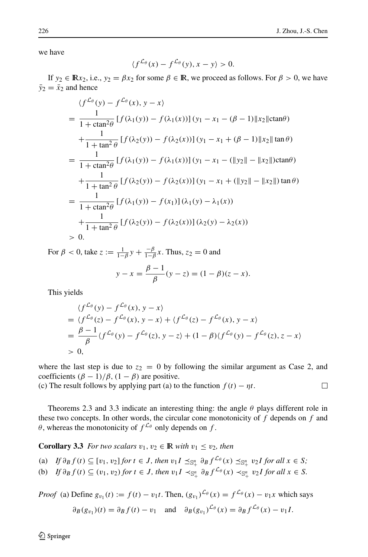$\Box$ 

we have

$$
\langle f^{\mathcal{L}_{\theta}}(x) - f^{\mathcal{L}_{\theta}}(y), x - y \rangle > 0.
$$

If  $y_2 \in \mathbb{R}x_2$ , i.e.,  $y_2 = \beta x_2$  for some  $\beta \in \mathbb{R}$ , we proceed as follows. For  $\beta > 0$ , we have  $\bar{y}_2 = \bar{x}_2$  and hence

$$
\langle f^{\mathcal{L}_{\theta}}(y) - f^{\mathcal{L}_{\theta}}(x), y - x \rangle
$$
\n
$$
= \frac{1}{1 + \tan^2 \theta} [f(\lambda_1(y)) - f(\lambda_1(x))] (y_1 - x_1 - (\beta - 1) ||x_2|| \text{ctan}\theta)
$$
\n
$$
+ \frac{1}{1 + \tan^2 \theta} [f(\lambda_2(y)) - f(\lambda_2(x))] (y_1 - x_1 + (\beta - 1) ||x_2|| \tan \theta)
$$
\n
$$
= \frac{1}{1 + \tan^2 \theta} [f(\lambda_1(y)) - f(\lambda_1(x))] (y_1 - x_1 - (||y_2|| - ||x_2||) \text{ctan}\theta)
$$
\n
$$
+ \frac{1}{1 + \tan^2 \theta} [f(\lambda_2(y)) - f(\lambda_2(x))] (y_1 - x_1 + (||y_2|| - ||x_2||) \tan \theta)
$$
\n
$$
= \frac{1}{1 + \text{ctan}^2 \theta} [f(\lambda_1(y)) - f(x_1)] (\lambda_1(y) - \lambda_1(x))
$$
\n
$$
+ \frac{1}{1 + \tan^2 \theta} [f(\lambda_2(y)) - f(\lambda_2(x))] (\lambda_2(y) - \lambda_2(x))
$$
\n
$$
> 0.
$$

For  $\beta < 0$ , take  $z := \frac{1}{1-\beta}y + \frac{-\beta}{1-\beta}x$ . Thus,  $z_2 = 0$  and  $y - x = \frac{\beta - 1}{\beta} (y - z) = (1 - \beta)(z - x).$ 

This yields

$$
\langle f^{\mathcal{L}_{\theta}}(y) - f^{\mathcal{L}_{\theta}}(x), y - x \rangle
$$
  
=\langle f^{\mathcal{L}\_{\theta}}(z) - f^{\mathcal{L}\_{\theta}}(x), y - x \rangle + \langle f^{\mathcal{L}\_{\theta}}(z) - f^{\mathcal{L}\_{\theta}}(x), y - x \rangle  
=\frac{\beta - 1}{\beta} \langle f^{\mathcal{L}\_{\theta}}(y) - f^{\mathcal{L}\_{\theta}}(z), y - z \rangle + (1 - \beta) \langle f^{\mathcal{L}\_{\theta}}(y) - f^{\mathcal{L}\_{\theta}}(z), z - x \rangle  
> 0,

where the last step is due to  $z_2 = 0$  by following the similar argument as Case 2, and coefficients  $(\beta - 1)/\beta$ ,  $(1 - \beta)$  are positive.

(c) The result follows by applying part (a) to the function  $f(t) - \eta t$ .

Theorems 2.3 and 3.3 indicate an interesting thing: the angle *θ* plays different role in these two concepts. In other words, the circular cone monotonicity of *f* depends on *f* and *θ*, whereas the monotonicity of  $f^{\mathcal{L}_{\theta}}$  only depends on *f*.

**Corollary 3.3** *For two scalars*  $v_1, v_2 \in \mathbb{R}$  *with*  $v_1 \leq v_2$ *, then* 

(a) If 
$$
\partial_B f(t) \subseteq [v_1, v_2]
$$
 for  $t \in J$ , then  $v_1 I \preceq_{\mathbb{S}_+^n} \partial_B f^{\mathcal{L}_{\theta}}(x) \preceq_{\mathbb{S}_+^n} v_2 I$  for all  $x \in S$ ;

(b) If 
$$
\partial_B f(t) \subseteq (v_1, v_2)
$$
 for  $t \in J$ , then  $v_1 I \prec_{\mathbb{S}_+^n} \partial_B f^{\mathcal{L}_{\theta}}(x) \prec_{\mathbb{S}_+^n} v_2 I$  for all  $x \in S$ .

*Proof* (a) Define  $g_{v_1}(t) := f(t) - v_1 t$ . Then,  $(g_{v_1})^{\mathcal{L}_{\theta}}(x) = f^{\mathcal{L}_{\theta}}(x) - v_1 x$  which says

$$
\partial_B(g_{v_1})(t) = \partial_B f(t) - v_1 \quad \text{and} \quad \partial_B(g_{v_1})^{\mathcal{L}_{\theta}}(x) = \partial_B f^{\mathcal{L}_{\theta}}(x) - v_1 I.
$$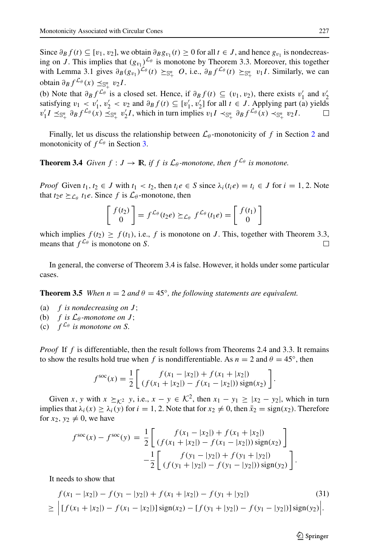Since  $\partial_B f(t)$  ⊆ [*v*<sub>1</sub>*, v*<sub>2</sub>], we obtain  $\partial_B g_{v_1}(t) \ge 0$  for all  $t \in J$ , and hence  $g_{v_1}$  is nondecreasing on *J*. This implies that  $(g_{v_1})^{\mathcal{L}_\theta}$  is monotone by Theorem 3.3. Moreover, this together with Lemma 3.1 gives  $\partial_B(g_{v_1})^{\mathcal{L}_\theta}(t) \succeq_{\mathbb{S}^n_+} O$ , i.e.,  $\partial_B f^{\mathcal{L}_\theta}(t) \succeq_{\mathbb{S}^n_+} v_1 I$ . Similarly, we can  $\text{obtain } \frac{\partial_B f^{\mathcal{L}_\theta}(x) \preceq_{\mathbb{S}_+^n} v_2 I.}$ 

(b) Note that  $\partial_B f^{\mathcal{L}_\theta}$  is a closed set. Hence, if  $\partial_B f(t) \subseteq (v_1, v_2)$ , there exists  $v'_1$  and  $v'_2$ satisfying  $v_1 < v_1'$ ,  $v_2' < v_2$  and  $\partial_B f(t) \subseteq [v_1', v_2']$  for all  $t \in J$ . Applying part (a) yields  $v'_1I \preceq_{\mathbb{S}_+^n} \partial_B f^{\mathcal{L}_{\theta}}(x) \preceq_{\mathbb{S}_+^n} v'_2I$ , which in turn implies  $v_1I \prec_{\mathbb{S}_+^n} \partial_B f^{\mathcal{L}_{\theta}}(x) \prec_{\mathbb{S}_+^n} v_2I$ .

Finally, let us discuss the relationship between  $\mathcal{L}_{\theta}$ -monotonicity of f in Section [2](#page-3-0) and monotonicity of  $f^{\mathcal{L}_{\theta}}$  in Section [3.](#page-10-2)

**Theorem 3.4** *Given*  $f: J \to \mathbb{R}$ *, if*  $f$  *is*  $\mathcal{L}_{\theta}$ *-monotone, then*  $f^{\mathcal{L}_{\theta}}$  *is monotone.* 

*Proof* Given  $t_1, t_2 \in J$  with  $t_1 < t_2$ , then  $t_i e \in S$  since  $\lambda_i(t_i e) = t_i \in J$  for  $i = 1, 2$ . Note that  $t_2e \succeq_{\mathcal{L}_\theta} t_1e$ . Since f is  $\mathcal{L}_\theta$ -monotone, then

$$
\begin{bmatrix} f(t_2) \\ 0 \end{bmatrix} = f^{\mathcal{L}_{\theta}}(t_2 e) \succeq_{\mathcal{L}_{\theta}} f^{\mathcal{L}_{\theta}}(t_1 e) = \begin{bmatrix} f(t_1) \\ 0 \end{bmatrix}
$$

which implies  $f(t_2) \ge f(t_1)$ , i.e., *f* is monotone on *J*. This, together with Theorem 3.3, means that  $f^{\mathcal{L}_{\theta}}$  is monotone on *S*. means that  $f^{\mathcal{L}_{\theta}}$  is monotone on *S*.

In general, the converse of Theorem 3.4 is false. However, it holds under some particular cases.

**Theorem 3.5** *When*  $n = 2$  *and*  $\theta = 45^\circ$ *, the following statements are equivalent.* 

- (a) *f is nondecreasing on J* ;
- (b) *f* is  $\mathcal{L}_{\theta}$ -monotone on *J*;
- (c)  $f^{\mathcal{L}_{\theta}}$  *is monotone on S.*

*Proof* If f is differentiable, then the result follows from Theorems 2.4 and 3.3. It remains to show the results hold true when *f* is nondifferentiable. As  $n = 2$  and  $\theta = 45^\circ$ , then

$$
f^{\rm soc}(x) = \frac{1}{2} \left[ \frac{f(x_1 - |x_2|) + f(x_1 + |x_2|)}{(f(x_1 + |x_2|) - f(x_1 - |x_2|)) \operatorname{sign}(x_2)} \right].
$$

Given *x*, *y* with  $x \succeq_{k^2} y$ , i.e.,  $x - y \in \mathcal{K}^2$ , then  $x_1 - y_1 \ge |x_2 - y_2|$ , which in turn implies that  $\lambda_i(x) \geq \lambda_i(y)$  for  $i = 1, 2$ . Note that for  $x_2 \neq 0$ , then  $\bar{x}_2 = \text{sign}(x_2)$ . Therefore for  $x_2, y_2 \neq 0$ , we have

$$
f^{\text{soc}}(x) - f^{\text{soc}}(y) = \frac{1}{2} \left[ \frac{f(x_1 - |x_2|) + f(x_1 + |x_2|)}{(f(x_1 + |x_2|) - f(x_1 - |x_2|)) \text{ sign}(x_2)} \right] - \frac{1}{2} \left[ \frac{f(y_1 - |y_2|) + f(y_1 + |y_2|)}{(f(y_1 + |y_2|) - f(y_1 - |y_2|)) \text{ sign}(y_2)} \right].
$$

It needs to show that

<span id="page-16-0"></span>
$$
f(x_1 - |x_2|) - f(y_1 - |y_2|) + f(x_1 + |x_2|) - f(y_1 + |y_2|)
$$
\n
$$
\geq \left| [f(x_1 + |x_2|) - f(x_1 - |x_2|)] \operatorname{sign}(x_2) - [f(y_1 + |y_2|) - f(y_1 - |y_2|)] \operatorname{sign}(y_2) \right|.
$$
\n(31)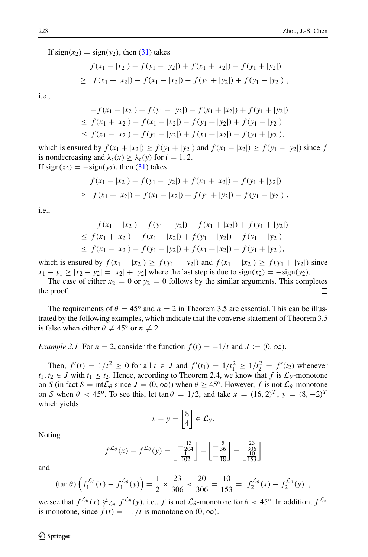If  $sign(x_2) = sign(y_2)$ , then [\(31\)](#page-16-0) takes

$$
f(x_1 - |x_2|) - f(y_1 - |y_2|) + f(x_1 + |x_2|) - f(y_1 + |y_2|)
$$
  
\n
$$
\geq \left| f(x_1 + |x_2|) - f(x_1 - |x_2|) - f(y_1 + |y_2|) + f(y_1 - |y_2|) \right|,
$$

i.e.,

$$
-f(x_1 - |x_2|) + f(y_1 - |y_2|) - f(x_1 + |x_2|) + f(y_1 + |y_2|)
$$
  
\n
$$
\leq f(x_1 + |x_2|) - f(x_1 - |x_2|) - f(y_1 + |y_2|) + f(y_1 - |y_2|)
$$
  
\n
$$
\leq f(x_1 - |x_2|) - f(y_1 - |y_2|) + f(x_1 + |x_2|) - f(y_1 + |y_2|),
$$

which is ensured by  $f(x_1 + |x_2|) \ge f(y_1 + |y_2|)$  and  $f(x_1 - |x_2|) \ge f(y_1 - |y_2|)$  since *f* is nondecreasing and  $\lambda_i(x) \geq \lambda_i(y)$  for  $i = 1, 2$ . If  $sign(x_2) = -sign(y_2)$ , then [\(31\)](#page-16-0) takes

$$
f(x_1 - |x_2|) - f(y_1 - |y_2|) + f(x_1 + |x_2|) - f(y_1 + |y_2|)
$$
  
\n
$$
\geq \left| f(x_1 + |x_2|) - f(x_1 - |x_2|) + f(y_1 + |y_2|) - f(y_1 - |y_2|) \right|,
$$

i.e.,

$$
-f(x_1 - |x_2|) + f(y_1 - |y_2|) - f(x_1 + |x_2|) + f(y_1 + |y_2|)
$$
  
\n
$$
\leq f(x_1 + |x_2|) - f(x_1 - |x_2|) + f(y_1 + |y_2|) - f(y_1 - |y_2|)
$$
  
\n
$$
\leq f(x_1 - |x_2|) - f(y_1 - |y_2|) + f(x_1 + |x_2|) - f(y_1 + |y_2|),
$$

which is ensured by  $f(x_1 + |x_2|) \ge f(y_1 - |y_2|)$  and  $f(x_1 - |x_2|) \ge f(y_1 + |y_2|)$  since  $x_1 - y_1 \ge |x_2 - y_2| = |x_2| + |y_2|$  where the last step is due to sign(x<sub>2</sub>) =  $-\text{sign}(y_2)$ .

The case of either  $x_2 = 0$  or  $y_2 = 0$  follows by the similar arguments. This completes to roof. the proof.

The requirements of  $\theta = 45^\circ$  and  $n = 2$  in Theorem 3.5 are essential. This can be illustrated by the following examples, which indicate that the converse statement of Theorem 3.5 is false when either  $\theta \neq 45^{\circ}$  or  $n \neq 2$ .

*Example 3.1* For  $n = 2$ , consider the function  $f(t) = -1/t$  and  $J := (0, \infty)$ .

Then,  $f'(t) = 1/t^2 \ge 0$  for all  $t \in J$  and  $f'(t_1) = 1/t_1^2 \ge 1/t_2^2 = f'(t_2)$  whenever *t*<sub>1</sub>*, t*<sub>2</sub> ∈ *J* with *t*<sub>1</sub>  $\leq$  *t*<sub>2</sub>. Hence, according to Theorem 2.4, we know that *f* is  $\mathcal{L}_{\theta}$ -monotone on *S* (in fact  $S = \text{int} \mathcal{L}_{\theta}$  since  $J = (0, \infty)$ ) when  $\theta \geq 45^{\circ}$ . However, *f* is not  $\mathcal{L}_{\theta}$ -monotone on *S* when  $\theta$  < 45<sup>o</sup>. To see this, let  $\tan \theta = 1/2$ , and take  $x = (16, 2)^T$ ,  $y = (8, -2)^T$ which yields

$$
x - y = \begin{bmatrix} 8 \\ 4 \end{bmatrix} \in \mathcal{L}_{\theta}.
$$

Noting

$$
f^{\mathcal{L}_{\theta}}(x) - f^{\mathcal{L}_{\theta}}(y) = \begin{bmatrix} -\frac{13}{204} \\ \frac{1}{102} \end{bmatrix} - \begin{bmatrix} -\frac{5}{36} \\ -\frac{1}{18} \end{bmatrix} = \begin{bmatrix} \frac{23}{306} \\ \frac{10}{153} \end{bmatrix}
$$

and

$$
(\tan \theta) \left( f_1^{\mathcal{L}_{\theta}}(x) - f_1^{\mathcal{L}_{\theta}}(y) \right) = \frac{1}{2} \times \frac{23}{306} < \frac{20}{306} = \frac{10}{153} = \left| f_2^{\mathcal{L}_{\theta}}(x) - f_2^{\mathcal{L}_{\theta}}(y) \right|,
$$

we see that  $f^{\mathcal{L}_{\theta}}(x) \not\subset_{\mathcal{L}_{\theta}} f^{\mathcal{L}_{\theta}}(y)$ , i.e., *f* is not  $\mathcal{L}_{\theta}$ -monotone for  $\theta < 45^{\circ}$ . In addition,  $f^{\mathcal{L}_{\theta}}$ is monotone, since  $f(t) = -1/t$  is monotone on  $(0, \infty)$ .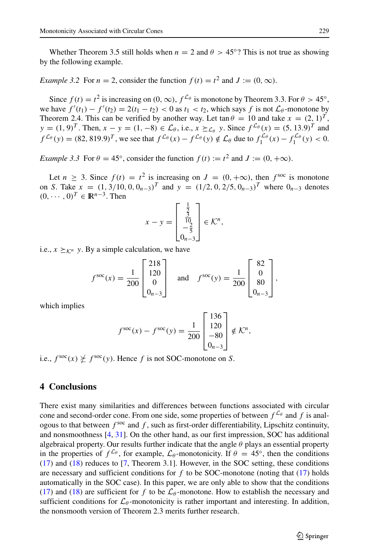Whether Theorem 3.5 still holds when  $n = 2$  and  $\theta > 45°$ ? This is not true as showing by the following example.

*Example 3.2* For  $n = 2$ , consider the function  $f(t) = t^2$  and  $J := (0, \infty)$ .

Since  $f(t) = t^2$  is increasing on  $(0, \infty)$ ,  $f^{\mathcal{L}_{\theta}}$  is monotone by Theorem 3.3. For  $\theta > 45^\circ$ , we have  $f'(t_1) - f'(t_2) = 2(t_1 - t_2) < 0$  as  $t_1 < t_2$ , which says  $f$  is not  $\mathcal{L}_{\theta}$ -monotone by Theorem 2.4. This can be verified by another way. Let  $\tan \theta = 10$  and take  $x = (2, 1)^T$ ,  $y = (1, 9)^T$ . Then,  $x - y = (1, -8) \in \mathcal{L}_{\theta}$ , i.e.,  $x \succeq_{\mathcal{L}_{\theta}} y$ . Since  $f^{\mathcal{L}_{\theta}}(x) = (5, 13.9)^T$  and  $f^{\mathcal{L}_{\theta}}(y) = (82, 819.9)^T$ , we see that  $f^{\mathcal{L}_{\theta}}(x) - f^{\mathcal{L}_{\theta}}(y) \notin \mathcal{L}_{\theta}$  due to  $f_1^{\mathcal{L}_{\theta}}(x) - f_1^{\mathcal{L}_{\theta}}(y) < 0$ .

*Example 3.3* For  $\theta = 45^\circ$ , consider the function  $f(t) := t^2$  and  $J := (0, +\infty)$ .

Let  $n > 3$ . Since  $f(t) = t^2$  is increasing on  $J = (0, +\infty)$ , then  $f^{\text{soc}}$  is monotone on S. Take  $x = (1, 3/10, 0, 0<sub>n-3</sub>)<sup>T</sup>$  and  $y = (1/2, 0, 2/5, 0<sub>n-3</sub>)<sup>T</sup>$  where  $0<sub>n-3</sub>$  denotes  $(0, \cdots, 0)^T \in \mathbb{R}^{n-3}$ . Then

$$
x - y = \begin{bmatrix} \frac{1}{2} \\ \frac{3}{10} \\ -\frac{2}{5} \\ 0_{n-3} \end{bmatrix} \in \mathcal{K}^n,
$$

i.e.,  $x \succeq_{\mathcal{K}^n} y$ . By a simple calculation, we have

$$
f^{\text{soc}}(x) = \frac{1}{200} \begin{bmatrix} 218 \\ 120 \\ 0 \\ 0_{n-3} \end{bmatrix} \quad \text{and} \quad f^{\text{soc}}(y) = \frac{1}{200} \begin{bmatrix} 82 \\ 0 \\ 80 \\ 0_{n-3} \end{bmatrix},
$$

which implies

$$
f^{\text{soc}}(x) - f^{\text{soc}}(y) = \frac{1}{200} \begin{bmatrix} 136 \\ 120 \\ -80 \\ 0_{n-3} \end{bmatrix} \notin \mathcal{K}^n,
$$

i.e.,  $f^{\text{soc}}(x) \not\succeq f^{\text{soc}}(y)$ . Hence *f* is not SOC-monotone on *S*.

### **4 Conclusions**

There exist many similarities and differences between functions associated with circular cone and second-order cone. From one side, some properties of between  $f^{\mathcal{L}_{\theta}}$  and f is analogous to that between  $f^{\text{soc}}$  and  $f$ , such as first-order differentiability, Lipschitz continuity, and nonsmoothness [\[4,](#page-20-16) [31\]](#page-21-3). On the other hand, as our first impression, SOC has additional algebraical property. Our results further indicate that the angle  $\theta$  plays an essential property in the properties of  $f^{\mathcal{L}_{\theta}}$ , for example,  $\mathcal{L}_{\theta}$ -monotonicity. If  $\theta = 45^{\circ}$ , then the conditions [\(17\)](#page-7-0) and [\(18\)](#page-7-1) reduces to [\[7,](#page-20-12) Theorem 3.1]. However, in the SOC setting, these conditions are necessary and sufficient conditions for *f* to be SOC-monotone (noting that [\(17\)](#page-7-0) holds automatically in the SOC case). In this paper, we are only able to show that the conditions [\(17\)](#page-7-0) and [\(18\)](#page-7-1) are sufficient for *f* to be  $\mathcal{L}_{\theta}$ -monotone. How to establish the necessary and sufficient conditions for  $\mathcal{L}_{\theta}$ -monotonicity is rather important and interesting. In addition, the nonsmooth version of Theorem 2.3 merits further research.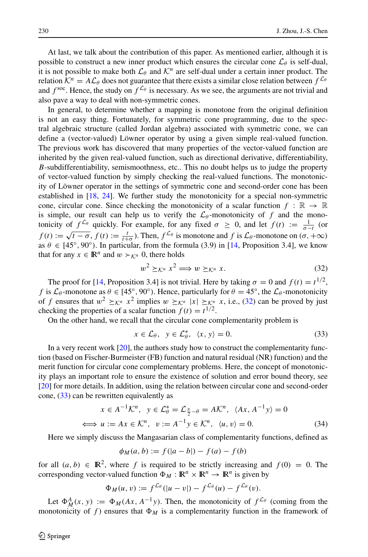At last, we talk about the contribution of this paper. As mentioned earlier, although it is possible to construct a new inner product which ensures the circular cone  $\mathcal{L}_{\theta}$  is self-dual, it is not possible to make both  $\mathcal{L}_{\theta}$  and  $\mathcal{K}^{n}$  are self-dual under a certain inner product. The relation  $K^n = A\mathcal{L}_\theta$  does not guarantee that there exists a similar close relation between  $f^{\mathcal{L}_\theta}$ and  $f^{\text{soc}}$ . Hence, the study on  $f^{\mathcal{L}_{\theta}}$  is necessary. As we see, the arguments are not trivial and also pave a way to deal with non-symmetric cones.

In general, to determine whether a mapping is monotone from the original definition is not an easy thing. Fortunately, for symmetric cone programming, due to the spectral algebraic structure (called Jordan algebra) associated with symmetric cone, we can define a (vector-valued) Löwner operator by using a given simple real-valued function. The previous work has discovered that many properties of the vector-valued function are inherited by the given real-valued function, such as directional derivative, differentiability, *B*-subdifferentiability, semismoothness, etc.. This no doubt helps us to judge the property of vector-valued function by simply checking the real-valued functions. The monotonicity of Löwner operator in the settings of symmetric cone and second-order cone has been established in [\[18,](#page-20-17) [24\]](#page-21-4). We further study the monotonicity for a special non-symmetric cone, circular cone. Since checking the monotonicity of a scalar function  $f : \mathbb{R} \to \mathbb{R}$ is simple, our result can help us to verify the  $\mathcal{L}_{\theta}$ -monotonicity of f and the monotonicity of  $f^{\mathcal{L}\theta}$  quickly. For example, for any fixed  $\sigma \geq 0$ , and let  $f(t) := \frac{1}{\sigma - t}$  (or  $f(t) := \sqrt{t - \sigma}$ ,  $f(t) := \frac{t}{t + \sigma}$ . Then,  $f^{\mathcal{L}_{\theta}}$  is monotone and  $f$  is  $\mathcal{L}_{\theta}$ -monotone on  $(\sigma, +\infty)$ as  $\theta \in [45^{\circ}, 90^{\circ})$ . In particular, from the formula (3.9) in [\[14,](#page-20-10) Proposition 3.4], we know that for any  $x \in \mathbb{R}^n$  and  $w \succ_{\mathcal{K}^n} 0$ , there holds

<span id="page-19-0"></span>
$$
w^2 \succeq_{\mathcal{K}^n} x^2 \Longrightarrow w \succeq_{\mathcal{K}^n} x. \tag{32}
$$

The proof for [\[14,](#page-20-10) Proposition 3.4] is not trivial. Here by taking  $\sigma = 0$  and  $f(t) = t^{1/2}$ , *f* is  $\mathcal{L}_{\theta}$ -monotone as  $\theta \in [45^{\circ}, 90^{\circ})$ . Hence, particularly for  $\theta = 45^{\circ}$ , the  $\mathcal{L}_{\theta}$ -monotonicity of *f* ensures that  $w^2 \geq_K^n x^2$  implies  $w \geq_K^n |x| \geq_K^n x$ , i.e., [\(32\)](#page-19-0) can be proved by just checking the properties of a scalar function  $f(t) = t^{1/2}$ .

On the other hand, we recall that the circular cone complementarity problem is

<span id="page-19-1"></span>
$$
x \in \mathcal{L}_{\theta}, \ \ y \in \mathcal{L}_{\theta}^*, \ \ \langle x, y \rangle = 0. \tag{33}
$$

In a very recent work [\[20\]](#page-20-19), the authors study how to construct the complementarity function (based on Fischer-Burmeister (FB) function and natural residual (NR) function) and the merit function for circular cone complementary problems. Here, the concept of monotonicity plays an important role to ensure the existence of solution and error bound theory, see [\[20\]](#page-20-19) for more details. In addition, using the relation between circular cone and second-order cone,  $(33)$  can be rewritten equivalently as

$$
x \in A^{-1} \mathcal{K}^n, \quad y \in \mathcal{L}_{\theta}^* = \mathcal{L}_{\frac{\pi}{2} - \theta} = A \mathcal{K}^n, \quad \langle Ax, A^{-1} y \rangle = 0
$$
  

$$
\iff u := Ax \in \mathcal{K}^n, \quad v := A^{-1} y \in \mathcal{K}^n, \quad \langle u, v \rangle = 0.
$$
 (34)

Here we simply discuss the Mangasarian class of complementarity functions, defined as

$$
\phi_M(a, b) := f(|a - b|) - f(a) - f(b)
$$

for all  $(a, b) \in \mathbb{R}^2$ , where f is required to be strictly increasing and  $f(0) = 0$ . The corresponding vector-valued function  $\Phi_M : \mathbb{R}^n \times \mathbb{R}^n \to \mathbb{R}^n$  is given by

$$
\Phi_M(u,v) := f^{\mathcal{L}_\theta}( |u-v| ) - f^{\mathcal{L}_\theta}(u) - f^{\mathcal{L}_\theta}(v).
$$

Let  $\Phi_M^A(x, y) := \Phi_M(Ax, A^{-1}y)$ . Then, the monotonicity of  $f^{\mathcal{L}_\theta}$  (coming from the monotonicity of f) ensures that  $\Phi_M$  is a complementarity function in the framework of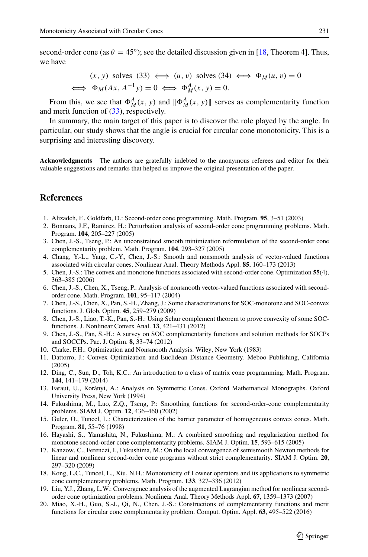second-order cone (as  $\theta = 45^\circ$ ); see the detailed discussion given in [\[18,](#page-20-17) Theorem 4]. Thus, we have

$$
(x, y) \text{ solves } (33) \iff (u, v) \text{ solves } (34) \iff \Phi_M(u, v) = 0
$$
  

$$
\iff \Phi_M(Ax, A^{-1}y) = 0 \iff \Phi_M^A(x, y) = 0.
$$

From this, we see that  $\Phi_M^A(x, y)$  and  $\|\Phi_M^A(x, y)\|$  serves as complementarity function and merit function of [\(33\)](#page-19-1), respectively.

In summary, the main target of this paper is to discover the role played by the angle. In particular, our study shows that the angle is crucial for circular cone monotonicity. This is a surprising and interesting discovery.

**Acknowledgments** The authors are gratefully indebted to the anonymous referees and editor for their valuable suggestions and remarks that helped us improve the original presentation of the paper.

#### **References**

- <span id="page-20-4"></span>1. Alizadeh, F., Goldfarb, D.: Second-order cone programming. Math. Program. **95**, 3–51 (2003)
- <span id="page-20-5"></span>2. Bonnans, J.F., Ramirez, H.: Perturbation analysis of second-order cone programming problems. Math. Program. **104**, 205–227 (2005)
- <span id="page-20-8"></span>3. Chen, J.-S., Tseng, P.: An unconstrained smooth minimization reformulation of the second-order cone complementarity problem. Math. Program. **104**, 293–327 (2005)
- <span id="page-20-16"></span>4. Chang, Y.-L., Yang, C.-Y., Chen, J.-S.: Smooth and nonsmooth analysis of vector-valued functions associated with circular cones. Nonlinear Anal. Theory Methods Appl. **85**, 160–173 (2013)
- <span id="page-20-1"></span>5. Chen, J.-S.: The convex and monotone functions associated with second-order cone. Optimization **55**(4), 363–385 (2006)
- <span id="page-20-2"></span>6. Chen, J.-S., Chen, X., Tseng, P.: Analysis of nonsmooth vector-valued functions associated with secondorder cone. Math. Program. **101**, 95–117 (2004)
- <span id="page-20-12"></span>7. Chen, J.-S., Chen, X., Pan, S.-H., Zhang, J.: Some characterizations for SOC-monotone and SOC-convex functions. J. Glob. Optim. **45**, 259–279 (2009)
- <span id="page-20-3"></span>8. Chen, J.-S., Liao, T.-K., Pan, S.-H.: Using Schur complement theorem to prove convexity of some SOCfunctions. J. Nonlinear Convex Anal. **13**, 421–431 (2012)
- <span id="page-20-9"></span>9. Chen, J.-S., Pan, S.-H.: A survey on SOC complementarity functions and solution methods for SOCPs and SOCCPs. Pac. J. Optim. **8**, 33–74 (2012)
- <span id="page-20-18"></span>10. Clarke, F.H.: Optimization and Nonsmooth Analysis. Wiley, New York (1983)
- <span id="page-20-0"></span>11. Dattorro, J.: Convex Optimization and Euclidean Distance Geometry. Meboo Publishing, California (2005)
- <span id="page-20-14"></span>12. Ding, C., Sun, D., Toh, K.C.: An introduction to a class of matrix cone programming. Math. Program. **144**, 141–179 (2014)
- <span id="page-20-15"></span>13. Faraut, U., Koranyi, A.: Analysis on Symmetric Cones. Oxford Mathematical Monographs. Oxford ´ University Press, New York (1994)
- <span id="page-20-10"></span>14. Fukushima, M., Luo, Z.Q., Tseng, P.: Smoothing functions for second-order-cone complementarity problems. SIAM J. Optim. **12**, 436–460 (2002)
- <span id="page-20-13"></span>15. Guler, O., Tuncel, L.: Characterization of the barrier parameter of homogeneous convex cones. Math. Program. **81**, 55–76 (1998)
- <span id="page-20-11"></span>16. Hayashi, S., Yamashita, N., Fukushima, M.: A combined smoothing and regularization method for monotone second-order cone complementarity problems. SIAM J. Optim. **15**, 593–615 (2005)
- <span id="page-20-6"></span>17. Kanzow, C., Ferenczi, I., Fukushima, M.: On the local convergence of semismooth Newton methods for linear and nonlinear second-order cone programs without strict complementarity. SIAM J. Optim. **20**, 297–320 (2009)
- <span id="page-20-17"></span>18. Kong, L.C., Tuncel, L., Xiu, N.H.: Monotonicity of Lowner operators and its applications to symmetric cone complementarity problems. Math. Program. **133**, 327–336 (2012)
- <span id="page-20-7"></span>19. Liu, Y.J., Zhang, L.W.: Convergence analysis of the augmented Lagrangian method for nonlinear secondorder cone optimization problems. Nonlinear Anal. Theory Methods Appl. **67**, 1359–1373 (2007)
- <span id="page-20-19"></span>20. Miao, X.-H., Guo, S.-J., Qi, N., Chen, J.-S.: Constructions of complementarity functions and merit functions for circular cone complementarity problem. Comput. Optim. Appl. **63**, 495–522 (2016)